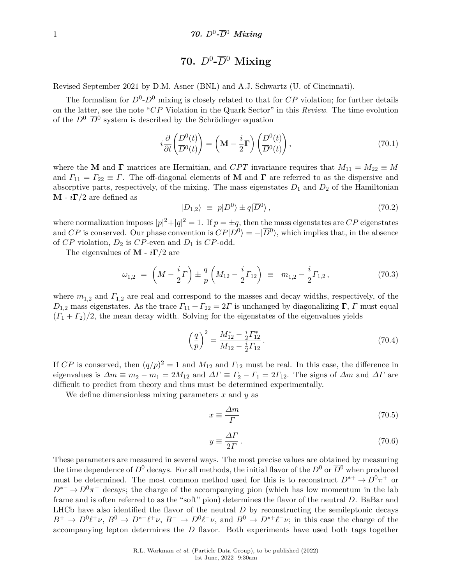# $70.$   $D^0$ - $\overline{D}{}^0$  Mixing

<span id="page-0-0"></span>Revised September 2021 by D.M. Asner (BNL) and A.J. Schwartz (U. of Cincinnati).

The formalism for  $D^0$ - $\overline{D}^0$  mixing is closely related to that for  $CP$  violation; for further details on the latter, see the note "*CP* Violation in the Quark Sector" in this *Review*. The time evolution of the  $D^0$ – $\overline{D}{}^0$  system is described by the Schrödinger equation

$$
i\frac{\partial}{\partial t} \left( \frac{D^0(t)}{D^0(t)} \right) = \left( \mathbf{M} - \frac{i}{2} \mathbf{\Gamma} \right) \left( \frac{D^0(t)}{D^0(t)} \right),\tag{70.1}
$$

where the **M** and **Γ** matrices are Hermitian, and *CPT* invariance requires that  $M_{11} = M_{22} \equiv M$ and  $\Gamma_{11} = \Gamma_{22} \equiv \Gamma$ . The off-diagonal elements of **M** and **Γ** are referred to as the dispersive and absorptive parts, respectively, of the mixing. The mass eigenstates  $D_1$  and  $D_2$  of the Hamiltonian **M** -  $i\Gamma/2$  are defined as

$$
|D_{1,2}\rangle \equiv p|D^0\rangle \pm q|\overline{D}^0\rangle, \qquad (70.2)
$$

where normalization imposes  $|p|^2 + |q|^2 = 1$ . If  $p = \pm q$ , then the mass eigenstates are *CP* eigenstates and *CP* is conserved. Our phase convention is  $CP|D^0\rangle = -|\overline{D}^0\rangle$ , which implies that, in the absence of *CP* violation, *D*<sup>2</sup> is *CP*-even and *D*<sup>1</sup> is *CP*-odd.

The eigenvalues of **M** - *i***Γ***/*2 are

$$
\omega_{1,2} = \left(M - \frac{i}{2}\Gamma\right) \pm \frac{q}{p} \left(M_{12} - \frac{i}{2}\Gamma_{12}\right) \equiv m_{1,2} - \frac{i}{2}\Gamma_{1,2},\tag{70.3}
$$

where  $m_{1,2}$  and  $\Gamma_{1,2}$  are real and correspond to the masses and decay widths, respectively, of the  $D_{1,2}$  mass eigenstates. As the trace  $\Gamma_{11} + \Gamma_{22} = 2\Gamma$  is unchanged by diagonalizing **Γ**, *Γ* must equal  $(\Gamma_1 + \Gamma_2)/2$ , the mean decay width. Solving for the eigenstates of the eigenvalues yields

$$
\left(\frac{q}{p}\right)^2 = \frac{M_{12}^* - \frac{i}{2}\Gamma_{12}^*}{M_{12} - \frac{i}{2}\Gamma_{12}}.
$$
\n(70.4)

If *CP* is conserved, then  $(q/p)^2 = 1$  and  $M_{12}$  and  $\Gamma_{12}$  must be real. In this case, the difference in eigenvalues is  $\Delta m \equiv m_2 - m_1 = 2M_{12}$  and  $\Delta \Gamma \equiv \Gamma_2 - \Gamma_1 = 2\Gamma_{12}$ . The signs of  $\Delta m$  and  $\Delta \Gamma$  are difficult to predict from theory and thus must be determined experimentally.

We define dimensionless mixing parameters *x* and *y* as

$$
x \equiv \frac{\Delta m}{\Gamma} \tag{70.5}
$$

$$
y \equiv \frac{\Delta \Gamma}{2\Gamma} \,. \tag{70.6}
$$

These parameters are measured in several ways. The most precise values are obtained by measuring the time dependence of  $D^0$  decays. For all methods, the initial flavor of the  $D^0$  or  $\overline{D}^0$  when produced must be determined. The most common method used for this is to reconstruct  $D^{*+} \to D^0 \pi^+$  or  $D^{*-} \to \overline{D}{}^0 \pi^-$  decays; the charge of the accompanying pion (which has low momentum in the lab frame and is often referred to as the "soft" pion) determines the flavor of the neutral *D*. BaBar and LHCb have also identified the flavor of the neutral *D* by reconstructing the semileptonic decays  $B^+ \to \overline{D}{}^0 \ell^+ \nu$ ,  $B^0 \to D^{*-} \ell^+ \nu$ ,  $B^- \to D^0 \ell^- \nu$ , and  $\overline{B}{}^0 \to D^{*+} \ell^- \nu$ ; in this case the charge of the accompanying lepton determines the *D* flavor. Both experiments have used both tags together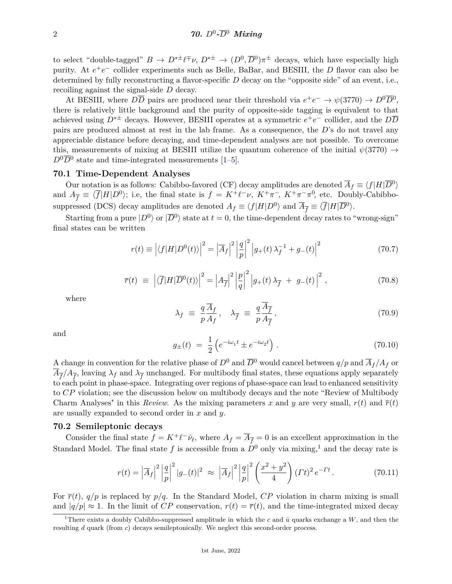to select "double-tagged"  $B \to D^{*\pm} \ell^{\mp} \nu$ ,  $D^{*\pm} \to (D^0, \overline{D}{}^0) \pi^{\pm}$  decays, which have especially high purity. At  $e^+e^-$  collider experiments such as Belle, BaBar, and BESIII, the *D* flavor can also be determined by fully reconstructing a flavor-specific *D* decay on the "opposite side" of an event, i.e., recoiling against the signal-side *D* decay.

At BESIII, where  $D\overline{D}$  pairs are produced near their threshold via  $e^+e^- \to \psi(3770) \to D^0\overline{D}^0$ , there is relatively little background and the purity of opposite-side tagging is equivalent to that achieved using *D*∗± decays. However, BESIII operates at a symmetric *e* +*e* <sup>−</sup> collider, and the *DD* pairs are produced almost at rest in the lab frame. As a consequence, the *D*'s do not travel any appreciable distance before decaying, and time-dependent analyses are not possible. To overcome this, measurements of mixing at BESIII utilize the quantum coherence of the initial  $\psi(3770) \rightarrow$  $D^0\overline{D}^0$  state and time-integrated measurements [\[1–](#page-13-0)[5\]](#page-13-1).

#### **70.1 Time-Dependent Analyses**

Our notation is as follows: Cabibbo-favored (CF) decay amplitudes are denoted  $\overline{A}_f \equiv \langle f|H|\overline{D}{}^0\rangle$ and  $A_{\overline{f}} \equiv \langle \overline{f} | H | D^0 \rangle$ ; i.e, the final state is  $f = K^+ \ell^- \nu$ ,  $K^+ \pi^-$ ,  $K^+ \pi^- \pi^0$ , etc. Doubly-Cabibbosuppressed (DCS) decay amplitudes are denoted  $A_f \equiv \langle f|H|D^0\rangle$  and  $\overline{A}_{\overline{f}} \equiv \langle \overline{f}|H|\overline{D}^0\rangle$ .

Starting from a pure  $|D^0\rangle$  or  $|\overline{D}{}^0\rangle$  state at  $t=0$ , the time-dependent decay rates to "wrong-sign" final states can be written

$$
r(t) \equiv \left| \langle f|H|D^{0}(t) \rangle \right|^{2} = \left| \overline{A}_{f} \right|^{2} \left| \frac{q}{p} \right|^{2} \left| g_{+}(t) \lambda_{f}^{-1} + g_{-}(t) \right|^{2} \tag{70.7}
$$

$$
\overline{r}(t) \equiv \left| \langle \overline{f} | H | \overline{D}^0(t) \rangle \right|^2 = \left| A_{\overline{f}} \right|^2 \left| \frac{p}{q} \right|^2 \left| g_+(t) \lambda_{\overline{f}} + g_-(t) \right|^2, \tag{70.8}
$$

where

$$
\lambda_f \equiv \frac{q}{p} \frac{\overline{A}_f}{A_f}, \quad \lambda_{\overline{f}} \equiv \frac{q}{p} \frac{\overline{A}_{\overline{f}}}{A_{\overline{f}}}, \tag{70.9}
$$

and

$$
g_{\pm}(t) = \frac{1}{2} \left( e^{-i\omega_1 t} \pm e^{-i\omega_2 t} \right). \tag{70.10}
$$

A change in convention for the relative phase of  $D^0$  and  $\overline{D}^0$  would cancel between  $q/p$  and  $\overline{A}_f/A_f$  or  $A_{\overline{f}}/A_{\overline{f}}$ , leaving  $\lambda_f$  and  $\lambda_{\overline{f}}$  unchanged. For multibody final states, these equations apply separately to each point in phase-space. Integrating over regions of phase-space can lead to enhanced sensitivity to *CP* violation; see the discussion below on multibody decays and the note "Review of Multibody Charm Analyses" in this *Review*. As the mixing parameters x and y are very small,  $r(t)$  and  $\bar{r}(t)$ are usually expanded to second order in *x* and *y*.

#### **70.2 Semileptonic decays**

Consider the final state  $f = K^+ \ell^- \bar{\nu}_{\ell}$ , where  $A_f = \overline{A}_{\overline{f}} = 0$  is an excellent approximation in the Standard Model. The final state f is accessible from a  $D^0$  only via mixing,<sup>[1](#page-1-0)</sup> and the decay rate is

$$
r(t) = |\overline{A}_f|^2 \left| \frac{q}{p} \right|^2 |g_-(t)|^2 \approx |\overline{A}_f|^2 \left| \frac{q}{p} \right|^2 \left( \frac{x^2 + y^2}{4} \right) (Tt)^2 e^{-Tt} \,. \tag{70.11}
$$

For  $\bar{r}(t)$ ,  $q/p$  is replaced by  $p/q$ . In the Standard Model, *CP* violation in charm mixing is small and  $|q/p| \approx 1$ . In the limit of *CP* conservation,  $r(t) = \overline{r}(t)$ , and the time-integrated mixed decay

<span id="page-1-0"></span><sup>&</sup>lt;sup>1</sup>There exists a doubly Cabibbo-suppressed amplitude in which the *c* and  $\bar{u}$  quarks exchange a *W*, and then the resulting *d* quark (from *c*) decays semileptonically. We neglect this second-order process.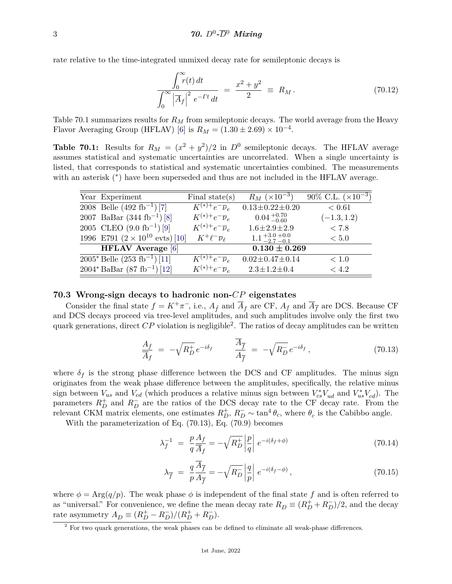rate relative to the time-integrated unmixed decay rate for semileptonic decays is

$$
\frac{\int_0^\infty r(t) \, dt}{\int_0^\infty \left| \overline{A}_f \right|^2 \, e^{-\Gamma t} \, dt} \ = \ \frac{x^2 + y^2}{2} \ \equiv \ R_M \,. \tag{70.12}
$$

Table 70.1 summarizes results for *R<sup>M</sup>* from semileptonic decays. The world average from the Heavy Flavor Averaging Group (HFLAV) [\[6\]](#page-14-0) is  $R_M = (1.30 \pm 2.69) \times 10^{-4}$ .

**Table 70.1:** Results for  $R_M = (x^2 + y^2)/2$  in  $D^0$  semileptonic decays. The HFLAV average assumes statistical and systematic uncertainties are uncorrelated. When a single uncertainty is listed, that corresponds to statistical and systematic uncertainties combined. The measurements with an asterisk (\*) have been superseded and thus are not included in the HFLAV average.

| Year Experiment                                  | Final state $(s)$               | $R_M \ (\times 10^{-3})$          | 90\% C.L. $(\times 10^{-3})$ |
|--------------------------------------------------|---------------------------------|-----------------------------------|------------------------------|
| 2008 Belle $(492 \text{ fb}^{-1})$ [7]           | $K^{(*)+}e^{-}\overline{\nu}_e$ | $0.13 \pm 0.22 \pm 0.20$          | < 0.61                       |
| 2007 BaBar $(344 \text{ fb}^{-1})$ [8]           | $K^{(*)+}e^{-}\overline{\nu}_e$ | $0.04_{-0.60}^{+0.70}$            | $(-1.3, 1.2)$                |
| 2005 CLEO $(9.0 \text{ fb}^{-1})$ [9]            | $K^{(*)+}e^{-}\overline{\nu}_e$ | $1.6 \pm 2.9 \pm 2.9$             | < 7.8                        |
| 1996 E791 $(2 \times 10^{10} \text{ evts})$ [10] | $K^+\ell^-\overline{\nu}_\ell$  | $1.1 + 3.0 + 0.0$<br>$-2.7 - 0.1$ | < 5.0                        |
| <b>HFLAV</b> Average [6]                         |                                 | $0.130 \pm 0.269$                 |                              |
| $2005^*$ Belle $(253$ fb <sup>-1</sup> ) [11]    | $K^{(*)+}e^{-}\overline{\nu}_e$ | $0.02 \pm 0.47 \pm 0.14$          | < 1.0                        |
| $2004^*$ BaBar $(87 \text{ fb}^{-1})$ [12]       | $K^{(*)+}e^{-}\overline{\nu}_e$ | $2.3 \pm 1.2 \pm 0.4$             | < 4.2                        |

#### **70.3 Wrong-sign decays to hadronic non-***CP* **eigenstates**

Consider the final state  $f = K^+\pi^-$ , i.e.,  $A_{\bar{f}}$  and  $\overline{A}_f$  are CF,  $A_f$  and  $\overline{A}_{\bar{f}}$  are DCS. Because CF and DCS decays proceed via tree-level amplitudes, and such amplitudes involve only the first two quark generations, direct  $\overline{CP}$  violation is negligible<sup>[2](#page-2-0)</sup>. The ratios of decay amplitudes can be written

$$
\frac{A_f}{\overline{A}_f} = -\sqrt{R_D^+}e^{-i\delta_f} \qquad \frac{\overline{A}_{\overline{f}}}{A_{\overline{f}}} = -\sqrt{R_D^-}e^{-i\delta_f},\tag{70.13}
$$

where  $\delta_f$  is the strong phase difference between the DCS and CF amplitudes. The minus sign originates from the weak phase difference between the amplitudes, specifically, the relative minus sign between  $V_{us}$  and  $V_{cd}$  (which produces a relative minus sign between  $V_{cs}^*V_{ud}$  and  $V_{us}^*V_{cd}$ ). The parameters  $R_D^+$  and  $R_D^-$  are the ratios of the DCS decay rate to the CF decay rate. From the relevant CKM matrix elements, one estimates  $R_D^+$ ,  $R_D^- \sim \tan^4 \theta_c$ , where  $\theta_c$  is the Cabibbo angle.

With the parameterization of Eq. (70.13), Eq. (70.9) becomes

$$
\lambda_f^{-1} = \frac{p}{q} \frac{A_f}{\overline{A}_f} = -\sqrt{R_D^+} \left| \frac{p}{q} \right| e^{-i(\delta_f + \phi)} \tag{70.14}
$$

$$
\lambda_{\overline{f}} = \frac{q}{p} \frac{\overline{A}_{\overline{f}}}{A_{\overline{f}}} = -\sqrt{R_D} \left| \frac{q}{p} \right| e^{-i(\delta_f - \phi)}, \qquad (70.15)
$$

where  $\phi = \text{Arg}(q/p)$ . The weak phase  $\phi$  is independent of the final state f and is often referred to as "universal." For convenience, we define the mean decay rate  $R_D \equiv (R_D^+ + R_D^-)/2$ , and the decay rate asymmetry  $A_D \equiv (R_D^+ - R_D^-)/(R_D^+ + R_D^-)$ .

<span id="page-2-0"></span><sup>&</sup>lt;sup>2</sup> For two quark generations, the weak phases can be defined to eliminate all weak-phase differences.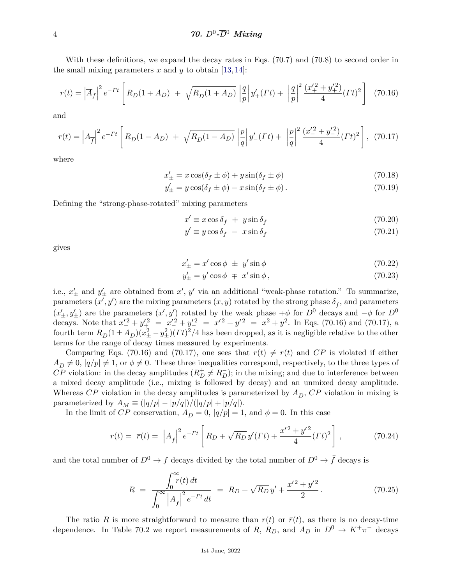### 4 *70. D*<sup>0</sup> *-D*<sup>0</sup> *Mixing*

With these definitions, we expand the decay rates in Eqs.  $(70.7)$  and  $(70.8)$  to second order in the small mixing parameters  $x$  and  $y$  to obtain [\[13,](#page-14-7) [14\]](#page-14-8):

$$
r(t) = \left| \overline{A}_f \right|^2 e^{-Tt} \left[ R_D(1 + A_D) + \sqrt{R_D(1 + A_D)} \left| \frac{q}{p} \right| y_+^{\prime}(Tt) + \left| \frac{q}{p} \right|^2 \frac{(x_+^{\prime 2} + y_+^{\prime 2})}{4} (Tt)^2 \right] (70.16)
$$

and

$$
\overline{r}(t) = \left| A_{\overline{f}} \right|^2 e^{-\Gamma t} \left[ R_D(1 - A_D) + \sqrt{R_D(1 - A_D)} \left| \frac{p}{q} \right| y_-'(Tt) + \left| \frac{p}{q} \right|^2 \frac{(x_-'^2 + y_-'^2)}{4} (Tt)^2 \right], \tag{70.17}
$$

where

$$
x'_{\pm} = x\cos(\delta_f \pm \phi) + y\sin(\delta_f \pm \phi) \tag{70.18}
$$

$$
y'_{\pm} = y\cos(\delta_f \pm \phi) - x\sin(\delta_f \pm \phi). \tag{70.19}
$$

Defining the "strong-phase-rotated" mixing parameters

$$
x' \equiv x \cos \delta_f + y \sin \delta_f \tag{70.20}
$$

$$
y' \equiv y \cos \delta_f - x \sin \delta_f \tag{70.21}
$$

gives

$$
x'_{\pm} = x' \cos \phi \pm y' \sin \phi \tag{70.22}
$$

$$
y'_{\pm} = y' \cos \phi \mp x' \sin \phi, \qquad (70.23)
$$

i.e.,  $x'_{\pm}$  and  $y'_{\pm}$  are obtained from  $x'$ ,  $y'$  via an additional "weak-phase rotation." To summarize, parameters  $(x', y')$  are the mixing parameters  $(x, y)$  rotated by the strong phase  $\delta_f$ , and parameters  $(x'_{\pm}, y'_{\pm})$  are the parameters  $(x', y')$  rotated by the weak phase  $+\phi$  for *D*<sup>0</sup> decays and  $-\phi$  for  $\overline{D}^0$ decays. Note that  $x'^2_+ + y'^2_+ = x'^2_- + y'^2_- = x'^2 + y'^2 = x^2 + y^2$ . In Eqs. (70.16) and (70.17), a fourth term  $R_D(1 \pm A_D)(x_{\pm}^2 - y_{\pm}^2)(Tt)^2/4$  has been dropped, as it is negligible relative to the other terms for the range of decay times measured by experiments.

Comparing Eqs. (70.16) and (70.17), one sees that  $r(t) \neq \overline{r}(t)$  and CP is violated if either  $A_D \neq 0$ ,  $|q/p| \neq 1$ , or  $\phi \neq 0$ . These three inequalities correspond, respectively, to the three types of  $\overline{CP}$  violation: in the decay amplitudes  $(R_D^+ \neq R_D^-)$ ; in the mixing; and due to interference between a mixed decay amplitude (i.e., mixing is followed by decay) and an unmixed decay amplitude. Whereas  $CP$  violation in the decay amplitudes is parameterized by  $A<sub>D</sub>$ ,  $CP$  violation in mixing is parameterized by  $A_M \equiv (|q/p| - |p/q|)/(|q/p| + |p/q|).$ 

In the limit of *CP* conservation,  $A_D = 0$ ,  $|q/p| = 1$ , and  $\phi = 0$ . In this case

$$
r(t) = \overline{r}(t) = \left| A_{\overline{f}} \right|^2 e^{-\Gamma t} \left[ R_D + \sqrt{R_D} \, y'(Tt) + \frac{x'^2 + y'^2}{4} (Tt)^2 \right],\tag{70.24}
$$

and the total number of  $D^0 \to f$  decays divided by the total number of  $D^0 \to \bar{f}$  decays is

$$
R = \frac{\int_0^\infty r(t) dt}{\int_0^\infty \left|A_{\overline{f}}\right|^2 e^{-\Gamma t} dt} = R_D + \sqrt{R_D} y' + \frac{x'^2 + y'^2}{2}.
$$
 (70.25)

The ratio *R* is more straightforward to measure than  $r(t)$  or  $\bar{r}(t)$ , as there is no decay-time dependence. In Table 70.2 we report measurements of *R*,  $R_D$ , and  $A_D$  in  $D^0 \rightarrow K^+\pi^-$  decays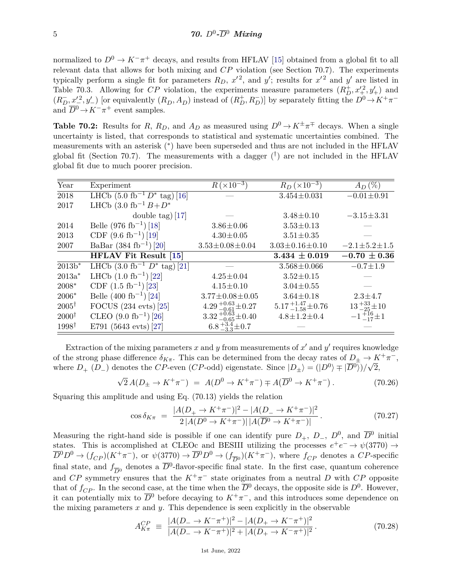normalized to  $D^0 \to K^-\pi^+$  decays, and results from HFLAV [\[15\]](#page-14-9) obtained from a global fit to all relevant data that allows for both mixing and *CP* violation (see Section 70.7). The experiments typically perform a single fit for parameters  $R_D$ ,  $x'^2$ , and  $y'$ ; results for  $x'^2$  and  $y'$  are listed in Table 70.3. Allowing for *CP* violation, the experiments measure parameters  $(R_D^+, x_+^2, y_+^{\prime})$  and  $(R_D^-, x_-^{\prime 2}, y_-)$  [or equivalently  $(R_D, A_D)$  instead of  $(R_D^+, R_D^-)$ ] by separately fitting the  $D^0 \to K^+ \pi^$ and  $\overline{D}{}^0 \to K^-\pi^+$  event samples.

**Table 70.2:** Results for *R*,  $R_D$ , and  $A_D$  as measured using  $D^0 \to K^{\pm} \pi^{\mp}$  decays. When a single uncertainty is listed, that corresponds to statistical and systematic uncertainties combined. The measurements with an asterisk (<sup>∗</sup> ) have been superseded and thus are not included in the HFLAV global fit (Section 70.7). The measurements with a dagger  $(\dagger)$  are not included in the HFLAV global fit due to much poorer precision.

| $R_D (\times 10^{-3})$<br>$R (\times 10^{-3})$<br>$A_D$ (%)<br>Experiment<br>LHCb $(5.0 \text{ fb}^{-1} D^* \text{tag})$ [16]<br>$3.454 \pm 0.031$<br>$-0.01 \pm 0.91$<br>LHCb $(3.0 \text{ fb}^{-1} B + D^*)$<br>double tag) $[17]$<br>$3.48 \pm 0.10$<br>$-3.15 \pm 3.31$<br>Belle $(976 \text{ fb}^{-1})$ [18]<br>$3.86 \pm 0.06$<br>$3.53 \pm 0.13$<br>CDF $(9.6 \text{ fb}^{-1})$ [19]<br>$4.30 \pm 0.05$<br>$3.51 \pm 0.35$<br>BaBar $(384 \text{ fb}^{-1})$ [20]<br>$3.53 \pm 0.08 \pm 0.04$<br>$3.03 \pm 0.16 \pm 0.10$<br>$-2.1 \pm 5.2 \pm 1.5$<br><b>HFLAV Fit Result [15]</b><br>$-0.70 \pm 0.36$<br>$3.434 \pm 0.019$<br>LHCb $(3.0 \text{ fb}^{-1} D^* \text{tag})$ [21]<br>$-0.7 \pm 1.9$<br>$3.568 \pm 0.066$<br>LHCb $(1.0 \text{ fb}^{-1})$ [22]<br>$4.25 \pm 0.04$<br>$3.52 \pm 0.15$<br>CDF $(1.5 \text{ fb}^{-1})$ [23]<br>$3.04 \pm 0.55$<br>$4.15 \pm 0.10$<br>Belle $(400 \text{ fb}^{-1})$ [24]<br>$3.77 \pm 0.08 \pm 0.05$<br>$3.64 \pm 0.18$<br>$2.3 + 4.7$<br>$4.29_{-0.61}^{+0.63} \pm 0.27$<br>$5.17_{\,-1.58}^{\,+1.47}\pm0.76$<br>$13 + 33 + 10$<br>FOCUS $(234 \text{ evts})$ $[25]$<br>$3.32_{-0.65}^{+0.63} \pm 0.40$<br>$-1\frac{+16}{-17}\pm 1$<br>CLEO $(9.0 \text{ fb}^{-1})$ [26]<br>$4.8 \pm 1.2 \pm 0.4$<br>$6.8_{-3.3}^{+3.4} \pm 0.7$<br>E791 (5643 evts) [27] |                      |  |  |
|------------------------------------------------------------------------------------------------------------------------------------------------------------------------------------------------------------------------------------------------------------------------------------------------------------------------------------------------------------------------------------------------------------------------------------------------------------------------------------------------------------------------------------------------------------------------------------------------------------------------------------------------------------------------------------------------------------------------------------------------------------------------------------------------------------------------------------------------------------------------------------------------------------------------------------------------------------------------------------------------------------------------------------------------------------------------------------------------------------------------------------------------------------------------------------------------------------------------------------------------------------------------------------------------------------|----------------------|--|--|
|                                                                                                                                                                                                                                                                                                                                                                                                                                                                                                                                                                                                                                                                                                                                                                                                                                                                                                                                                                                                                                                                                                                                                                                                                                                                                                            | Year                 |  |  |
|                                                                                                                                                                                                                                                                                                                                                                                                                                                                                                                                                                                                                                                                                                                                                                                                                                                                                                                                                                                                                                                                                                                                                                                                                                                                                                            | 2018                 |  |  |
|                                                                                                                                                                                                                                                                                                                                                                                                                                                                                                                                                                                                                                                                                                                                                                                                                                                                                                                                                                                                                                                                                                                                                                                                                                                                                                            | 2017                 |  |  |
|                                                                                                                                                                                                                                                                                                                                                                                                                                                                                                                                                                                                                                                                                                                                                                                                                                                                                                                                                                                                                                                                                                                                                                                                                                                                                                            |                      |  |  |
|                                                                                                                                                                                                                                                                                                                                                                                                                                                                                                                                                                                                                                                                                                                                                                                                                                                                                                                                                                                                                                                                                                                                                                                                                                                                                                            | 2014                 |  |  |
|                                                                                                                                                                                                                                                                                                                                                                                                                                                                                                                                                                                                                                                                                                                                                                                                                                                                                                                                                                                                                                                                                                                                                                                                                                                                                                            | 2013                 |  |  |
|                                                                                                                                                                                                                                                                                                                                                                                                                                                                                                                                                                                                                                                                                                                                                                                                                                                                                                                                                                                                                                                                                                                                                                                                                                                                                                            | 2007                 |  |  |
|                                                                                                                                                                                                                                                                                                                                                                                                                                                                                                                                                                                                                                                                                                                                                                                                                                                                                                                                                                                                                                                                                                                                                                                                                                                                                                            |                      |  |  |
|                                                                                                                                                                                                                                                                                                                                                                                                                                                                                                                                                                                                                                                                                                                                                                                                                                                                                                                                                                                                                                                                                                                                                                                                                                                                                                            | $\overline{2013b^*}$ |  |  |
|                                                                                                                                                                                                                                                                                                                                                                                                                                                                                                                                                                                                                                                                                                                                                                                                                                                                                                                                                                                                                                                                                                                                                                                                                                                                                                            | $2013a^*$            |  |  |
|                                                                                                                                                                                                                                                                                                                                                                                                                                                                                                                                                                                                                                                                                                                                                                                                                                                                                                                                                                                                                                                                                                                                                                                                                                                                                                            | $2008*$              |  |  |
|                                                                                                                                                                                                                                                                                                                                                                                                                                                                                                                                                                                                                                                                                                                                                                                                                                                                                                                                                                                                                                                                                                                                                                                                                                                                                                            | $2006*$              |  |  |
|                                                                                                                                                                                                                                                                                                                                                                                                                                                                                                                                                                                                                                                                                                                                                                                                                                                                                                                                                                                                                                                                                                                                                                                                                                                                                                            | $2005^{\dagger}$     |  |  |
|                                                                                                                                                                                                                                                                                                                                                                                                                                                                                                                                                                                                                                                                                                                                                                                                                                                                                                                                                                                                                                                                                                                                                                                                                                                                                                            | $2000^{\dagger}$     |  |  |
|                                                                                                                                                                                                                                                                                                                                                                                                                                                                                                                                                                                                                                                                                                                                                                                                                                                                                                                                                                                                                                                                                                                                                                                                                                                                                                            | $1998^{\dagger}$     |  |  |

Extraction of the mixing parameters  $x$  and  $y$  from measurements of  $x'$  and  $y'$  requires knowledge of the strong phase difference  $\delta_{K\pi}$ . This can be determined from the decay rates of  $D_{\pm} \to K^+\pi^-$ , where  $D_+$  ( $D_-$ ) denotes the *CP*-even (*CP*-odd) eigenstate. Since  $|D_{\pm}\rangle = (|D^0\rangle \mp |\overline{D}^0\rangle)/\sqrt{2}$ ,

$$
\sqrt{2} A(D_{\pm} \to K^{+} \pi^{-}) = A(D^{0} \to K^{+} \pi^{-}) \mp A(\overline{D}^{0} \to K^{+} \pi^{-}).
$$
\n(70.26)

Squaring this amplitude and using Eq. (70.13) yields the relation

$$
\cos \delta_{K\pi} = \frac{|A(D_{+} \to K^{+}\pi^{-})|^{2} - |A(D_{-} \to K^{+}\pi^{-})|^{2}}{2|A(D^{0} \to K^{+}\pi^{-})| |A(\overline{D}^{0} \to K^{+}\pi^{-})|}.
$$
\n(70.27)

Measuring the right-hand side is possible if one can identify pure  $D_+$ ,  $D_-$ ,  $D^0$ , and  $\overline{D}{}^0$  initial states. This is accomplished at CLEOc and BESIII utilizing the processes  $e^+e^- \rightarrow \psi(3770) \rightarrow$  $\overline{D}^0 D^0 \to (f_{CP})(K^+\pi^-)$ , or  $\psi(3770) \to \overline{D}^0 D^0 \to (f_{\overline{D}^0})(K^+\pi^-)$ , where  $f_{CP}$  denotes a *CP*-specific final state, and  $f_{\overline{D}^0}$  denotes a  $\overline{D}^0$ -flavor-specific final state. In the first case, quantum coherence and *CP* symmetry ensures that the  $K^+\pi^-$  state originates from a neutral *D* with *CP* opposite that of  $f_{CP}$ . In the second case, at the time when the  $\overline{D}^0$  decays, the opposite side is  $D^0$ . However, it can potentially mix to  $\overline{D}^0$  before decaying to  $K^+\pi^-$ , and this introduces some dependence on the mixing parameters  $x$  and  $y$ . This dependence is seen explicitly in the observable

$$
A_{K\pi}^{CP} \equiv \frac{|A(D_- \to K^- \pi^+)|^2 - |A(D_+ \to K^- \pi^+)|^2}{|A(D_- \to K^- \pi^+)|^2 + |A(D_+ \to K^- \pi^+)|^2}.
$$
\n(70.28)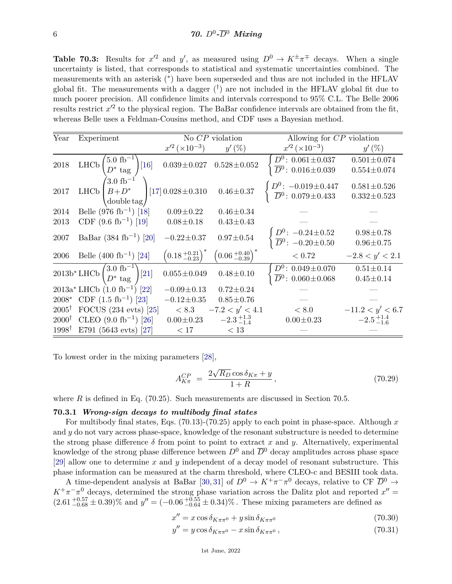**Table 70.3:** Results for  $x'^2$  and  $y'$ , as measured using  $D^0 \to K^{\pm} \pi^{\mp}$  decays. When a single uncertainty is listed, that corresponds to statistical and systematic uncertainties combined. The measurements with an asterisk (<sup>∗</sup> ) have been superseded and thus are not included in the HFLAV global fit. The measurements with a dagger  $(\dagger)$  are not included in the HFLAV global fit due to much poorer precision. All confidence limits and intervals correspond to 95% C.L. The Belle 2006 results restrict  $x'^2$  to the physical region. The BaBar confidence intervals are obtained from the fit, whereas Belle uses a Feldman-Cousins method, and CDF uses a Bayesian method.

| Year              | Experiment                                                                                                 |                                            | No $CP$ violation                              | Allowing for $CP$ violation                                          |                                        |
|-------------------|------------------------------------------------------------------------------------------------------------|--------------------------------------------|------------------------------------------------|----------------------------------------------------------------------|----------------------------------------|
|                   |                                                                                                            | $x'^2 (\times 10^{-3})$                    | $y'$ (%)                                       | $x'^2 (\times 10^{-3})$                                              | $y'(\%)$                               |
| $2018\,$          | $5.0~{\rm fb}^{-1}$<br>${\rm LHCb}$<br>$[16]$<br>$D^*$ tag                                                 | $0.039 \pm 0.027$                          | $0.528 \pm 0.052$                              | $D^0$ : 0.061 $\pm$ 0.037<br>$\overline{D}^0$ : 0.016 $\pm$ 0.039    | $0.501 \pm 0.074$<br>$0.554 \pm 0.074$ |
| 2017              | $^{'}3.0~{\rm fb}^{-1}$<br>$B+D^*$<br><b>LHC<sub>b</sub></b><br>$\frac{1}{2}$ double tag                   | [17] $0.028 \pm 0.310$                     | $0.46 \pm 0.37$                                | $D^0$ : $-0.019 \pm 0.447$<br>$\overline{D}{}^0$ : 0.079 $\pm$ 0.433 | $0.581 \pm 0.526$<br>$0.332 \pm 0.523$ |
| 2014              | Belle $(976 \text{ fb}^{-1})$ [18]                                                                         | $0.09 \pm 0.22$                            | $0.46 \pm 0.34$                                |                                                                      |                                        |
| 2013              | CDF $(9.6 \text{ fb}^{-1})$ [19]                                                                           | $0.08 \pm 0.18$                            | $0.43 \pm 0.43$                                |                                                                      |                                        |
| 2007              | BaBar $(384 \text{ fb}^{-1})$ [20]                                                                         | $-0.22 \pm 0.37$                           | $0.97 \pm 0.54$                                | $D^0$ : $-0.24 \pm 0.52$<br>$\overline{D}^0$ : $-0.20 \pm 0.50$      | $0.98 + 0.78$<br>$0.96 \pm 0.75$       |
| 2006              | Belle $(400 \text{ fb}^{-1})$ [24]                                                                         | $\left(0.18 {+0.21\atop -0.23}\right)^{*}$ | $\left(0.06 \, {}^{+0.40}_{-0.39}\right)^{''}$ | < 0.72                                                               | $-2.8 < y' < 2.1$                      |
|                   | $\overline{{\rm 2013b^*LHCb} \begin{pmatrix} 3.0~{\rm fb}^{-1}\\ D^*~{\rm tag} \end{pmatrix} } {\rm [21]}$ | $0.055 \pm 0.049$                          | $0.48 \pm 0.10$                                | $D^0$ : 0.049 $\pm$ 0.070<br>$\overline{D}^0$ : 0.060 $\pm$ 0.068    | $0.51 \pm 0.14$<br>$0.45 \pm 0.14$     |
|                   | $2013a^*$ LHCb $(1.0 \text{ fb}^{-1})$ [22]                                                                | $-0.09 \pm 0.13$                           | $0.72 \pm 0.24$                                |                                                                      |                                        |
| 2008*             | CDF $(1.5 \text{ fb}^{-1})$ [23]                                                                           | $-0.12 \pm 0.35$                           | $0.85 \pm 0.76$                                |                                                                      |                                        |
| $2005^{\dagger}$  | FOCUS $(234 \text{ evts})$ $[25]$                                                                          | < 8.3                                      | $-7.2 < y' < 4.1$                              | < 8.0                                                                | $-11.2 < y' < 6.7$                     |
| $2000^{\dagger}$  | CLEO $(9.0 \text{ fb}^{-1})$ [26]                                                                          | $0.00 \pm 0.23$                            | $-2.3_{-1.4}^{+1.3}$                           | $0.00 \pm 0.23$                                                      | $-2.5_{-1.6}^{+1.4}$                   |
| 1998 <sup>†</sup> | E791 (5643 evts) [27]                                                                                      | < 17                                       | < 13                                           |                                                                      |                                        |

To lowest order in the mixing parameters [\[28\]](#page-14-22),

$$
A_{K\pi}^{CP} = \frac{2\sqrt{R_D}\cos\delta_{K\pi} + y}{1+R},\tag{70.29}
$$

where *R* is defined in Eq. (70.25). Such measurements are discussed in Section 70.5.

#### **70.3.1** *Wrong-sign decays to multibody final states*

For multibody final states, Eqs. (70.13)-(70.25) apply to each point in phase-space. Although *x* and *y* do not vary across phase-space, knowledge of the resonant substructure is needed to determine the strong phase difference  $\delta$  from point to point to extract x and y. Alternatively, experimental knowledge of the strong phase difference between  $D^0$  and  $\overline{D}^0$  decay amplitudes across phase space [\[29\]](#page-14-23) allow one to determine *x* and *y* independent of a decay model of resonant substructure. This phase information can be measured at the charm threshold, where CLEO-c and BESIII took data.

A time-dependent analysis at BaBar [\[30,](#page-14-24) [31\]](#page-14-25) of  $D^0 \to K^+\pi^-\pi^0$  decays, relative to CF  $\overline{D}{}^0 \to$  $K^+\pi^-\pi^0$  decays, determined the strong phase variation across the Dalitz plot and reported  $x'' =$  $(2.61_{-0.68}^{+0.57} \pm 0.39)\%$  and  $y'' = (-0.06_{-0.64}^{+0.55} \pm 0.34)\%$ . These mixing parameters are defined as

$$
x'' = x\cos\delta_{K\pi\pi^{0}} + y\sin\delta_{K\pi\pi^{0}} \tag{70.30}
$$

$$
y'' = y\cos\delta_{K\pi\pi^0} - x\sin\delta_{K\pi\pi^0},\tag{70.31}
$$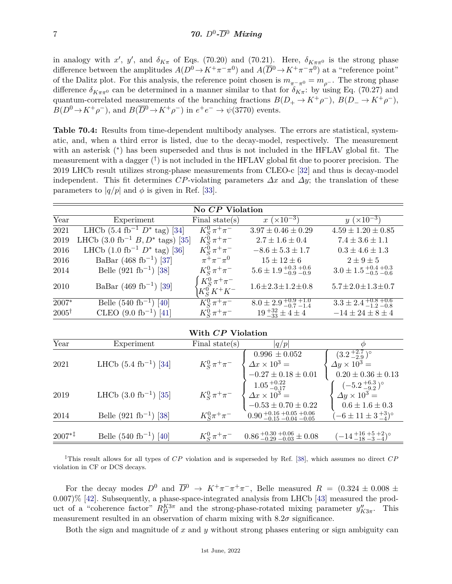in analogy with *x'*, *y'*, and  $\delta_{K\pi}$  of Eqs. (70.20) and (70.21). Here,  $\delta_{K\pi\pi^0}$  is the strong phase difference between the amplitudes  $A(D^0 \to K^+\pi^-\pi^0)$  and  $A(\overline{D}^0 \to K^+\pi^-\pi^0)$  at a "reference point" of the Dalitz plot. For this analysis, the reference point chosen is  $m_{\pi^-\pi^0} = m_{\rho^-}$ . The strong phase difference  $\delta_{K\pi\pi^0}$  can be determined in a manner similar to that for  $\delta_{K\pi}$ : by using Eq. (70.27) and quantum-correlated measurements of the branching fractions  $B(D_+ \to K^+ \rho^-)$ ,  $B(D_- \to K^+ \rho^-)$ ,  $B(D^0 \to K^+ \rho^-)$ , and  $B(\overline{D}^0 \to K^+ \rho^-)$  in  $e^+ e^- \to \psi$ (3770) events.

**Table 70.4:** Results from time-dependent multibody analyses. The errors are statistical, systematic, and, when a third error is listed, due to the decay-model, respectively. The measurement with an asterisk (\*) has been superseded and thus is not included in the HFLAV global fit. The measurement with a dagger  $(\dagger)$  is not included in the HFLAV global fit due to poorer precision. The 2019 LHCb result utilizes strong-phase measurements from CLEO-c [\[32\]](#page-14-26) and thus is decay-model independent. This fit determines *CP*-violating parameters  $\Delta x$  and  $\Delta y$ ; the translation of these parameters to  $|q/p|$  and  $\phi$  is given in Ref. [\[33\]](#page-14-27).

| No CP Violation  |                                                       |                                        |                                                     |                                             |  |  |
|------------------|-------------------------------------------------------|----------------------------------------|-----------------------------------------------------|---------------------------------------------|--|--|
| Year             | Experiment                                            | Final state $(s)$                      | $x (\times 10^{-3})$                                | $y~(\times 10^{-3})$                        |  |  |
| 2021             | LHCb $(5.4 \text{ fb}^{-1} D^* \text{tag})$ [34]      | $K_S^0 \pi^+ \pi^-$                    | $3.97 \pm 0.46 \pm 0.29$                            | $4.59 \pm 1.20 \pm 0.85$                    |  |  |
| 2019             | LHCb $(3.0 \text{ fb}^{-1} B, D^* \text{ tags})$ [35] | $K_S^0 \pi^+ \pi^-$                    | $2.7 \pm 1.6 \pm 0.4$                               | $7.4 \pm 3.6 \pm 1.1$                       |  |  |
| 2016             | LHCb $(1.0 \text{ fb}^{-1} D^* \text{tag})$ [36]      | $K_S^0 \pi^+ \pi^-$                    | $-8.6 \pm 5.3 \pm 1.7$                              | $0.3 \pm 4.6 \pm 1.3$                       |  |  |
| 2016             | BaBar (468 fb <sup>-1</sup> ) [37]                    | $\pi^{+}\pi^{-}\pi^{0}$                | $15 \pm 12 \pm 6$                                   | $2\pm 9\pm 5$                               |  |  |
| 2014             | Belle $(921 \text{ fb}^{-1})$ [38]                    | $K_S^0 \pi^+ \pi^-$                    | $5.6 \pm 1.9_{\,-0.9}^{\,+0.3}{}_{\,-0.9}^{\,+0.6}$ | $3.0 \pm 1.5_{-0.5}^{+0.4}{}_{-0.6}^{+0.3}$ |  |  |
| 2010             | BaBar (469 fb <sup>-1</sup> ) [39]                    | $K_S^0 \pi^+ \pi^-$<br>$K_S^0 K^+ K^-$ | $1.6 \pm 2.3 \pm 1.2 \pm 0.8$                       | $5.7 \pm 2.0 \pm 1.3 \pm 0.7$               |  |  |
| 2007*            | Belle $(540 \text{ fb}^{-1})$ [40]                    | $K_S^0 \pi^+ \pi^-$                    | $8.0 \pm 2.9_{-0.7}^{+0.9}{}_{-1.4}^{+1.0}$         | $3.3 \pm 2.4_{\,-1.2\,-0.8}^{\,+0.8\,+0.6}$ |  |  |
| $2005^{\dagger}$ | CLEO $(9.0 \text{ fb}^{-1})$ [41]                     | $K_S^0 \pi^+ \pi^-$                    | $19^{+32}_{-33} \pm 4 \pm 4$                        | $-14 \pm 24 \pm 8 \pm 4$                    |  |  |

| With CP Violation |                                    |                     |                                                                                                                                                                                     |                                                                                        |  |  |
|-------------------|------------------------------------|---------------------|-------------------------------------------------------------------------------------------------------------------------------------------------------------------------------------|----------------------------------------------------------------------------------------|--|--|
| Year              | Experiment                         | Final state $(s)$   | q/p                                                                                                                                                                                 | Ф                                                                                      |  |  |
| 2021              | LHCb $(5.4 \text{ fb}^{-1})$ [34]  | $K^0_S\,\pi^+\pi^-$ | $0.996 \pm 0.052$                                                                                                                                                                   | $(3.2^{+2.7}_{-2.9})^{\circ}$<br>$\Delta y \times 10^3 =$<br>$0.20 \pm 0.36 \pm 0.13$  |  |  |
| 2019              | LHCb $(3.0 \text{ fb}^{-1})$ [35]  | $K^0_S\,\pi^+\pi^-$ | $\begin{cases}\n0.990 \pm 0.092 \\ \Delta x \times 10^3 = \\ -0.27 \pm 0.18 \pm 0.01 \\ 1.05 \frac{+0.22}{-0.17} \\ \Delta x \times 10^3 = \\ -0.53 \pm 0.70 \pm 0.22\n\end{cases}$ | $(-5.2\frac{+6.3}{-9.2})^{\circ}$<br>$\Delta y \times 10^3 =$<br>$0.6 \pm 1.6 \pm 0.3$ |  |  |
| 2014              | Belle $(921 \text{ fb}^{-1})$ [38] | $K_S^0 \pi^+ \pi^-$ | $0.90 + 0.16 + 0.05 + 0.06$<br>$-0.15 - 0.04 - 0.05$                                                                                                                                | $(-6 \pm 11 \pm 3 \frac{+3}{-4})^{\circ}$                                              |  |  |
| $2007^{*}$        | Belle $(540 \text{ fb}^{-1})$ [40] | $K_S^0 \pi^+ \pi^-$ | $0.86_{-0.29}^{+0.30}$ + 0.06 $\pm 0.08$                                                                                                                                            | $(-14\frac{+16}{-18}\frac{+5}{-3}\frac{+2}{-4})^{\circ}$                               |  |  |

‡This result allows for all types of *CP* violation and is superseded by Ref. [\[38\]](#page-14-32), which assumes no direct *CP* violation in CF or DCS decays.

For the decay modes  $D^0$  and  $\overline{D}^0$   $\rightarrow$   $K^+\pi^-\pi^+\pi^-$ , Belle measured  $R = (0.324 \pm 0.008 \pm 0.008 \pm 0.008)$ 0*.*007)% [\[42\]](#page-15-1). Subsequently, a phase-space-integrated analysis from LHCb [\[43\]](#page-15-2) measured the product of a "coherence factor"  $R_D^{K3\pi}$  and the strong-phase-rotated mixing parameter  $y''_{K3\pi}$ . This measurement resulted in an observation of charm mixing with  $8.2\sigma$  significance.

Both the sign and magnitude of *x* and *y* without strong phases entering or sign ambiguity can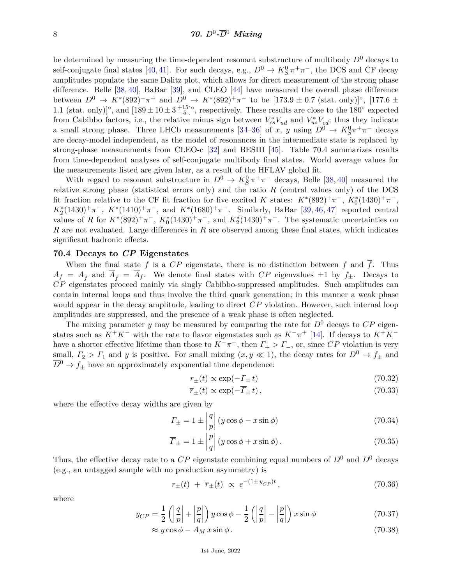be determined by measuring the time-dependent resonant substructure of multibody  $D^0$  decays to self-conjugate final states [\[40,](#page-14-34) [41\]](#page-15-0). For such decays, e.g.,  $D^0 \to K_S^0 \pi^+ \pi^-$ , the DCS and CF decay amplitudes populate the same Dalitz plot, which allows for direct measurement of the strong phase difference. Belle [\[38,](#page-14-32) [40\]](#page-14-34), BaBar [\[39\]](#page-14-33), and CLEO [\[44\]](#page-15-3) have measured the overall phase difference between  $D^0 \to K^*(892)^- \pi^+$  and  $D^0 \to K^*(892)^+ \pi^-$  to be [173*.*9 ± 0.7 (stat. only)]°, [177*.6* ± 1.1 (stat. only)<sup> $\degree$ </sup>, and  $[189 \pm 10 \pm 3 \pm 5]$ <sup>o</sup>, respectively. These results are close to the 180<sup>°</sup> expected from Cabibbo factors, i.e., the relative minus sign between  $V_{cs}^*V_{ud}$  and  $V_{us}^*V_{cd}$ ; thus they indicate a small strong phase. Three LHCb measurements [\[34–](#page-14-28)[36\]](#page-14-30) of *x*, *y* using  $D^0 \to K_S^0 \pi^+ \pi^-$  decays are decay-model independent, as the model of resonances in the intermediate state is replaced by strong-phase measurements from CLEO-c [\[32\]](#page-14-26) and BESIII [\[45\]](#page-15-4). Table 70.4 summarizes results from time-dependent analyses of self-conjugate multibody final states. World average values for the measurements listed are given later, as a result of the HFLAV global fit.

With regard to resonant substructure in  $D^0 \to K_S^0 \pi^+ \pi^-$  decays, Belle [\[38,](#page-14-32) [40\]](#page-14-34) measured the relative strong phase (statistical errors only) and the ratio *R* (central values only) of the DCS fit fraction relative to the CF fit fraction for five excited *K* states:  $K^*(892)^+\pi^-$ ,  $K_0^*(1430)^+\pi^-$ ,  $K_2^*(1430)^+\pi^-$ ,  $K^*(1410)^+\pi^-$ , and  $K^*(1680)^+\pi^-$ . Similarly, BaBar [\[39,](#page-14-33) [46,](#page-15-5) [47\]](#page-15-6) reported central values of *R* for  $K^*(892)^+\pi^-$ ,  $K_0^*(1430)^+\pi^-$ , and  $K_2^*(1430)^+\pi^-$ . The systematic uncertainties on *R* are not evaluated. Large differences in *R* are observed among these final states, which indicates significant hadronic effects.

#### **70.4 Decays to** *CP* **Eigenstates**

When the final state  $f$  is a  $CP$  eigenstate, there is no distinction between  $f$  and  $\overline{f}$ . Thus  $A_f = A_{\overline{f}}$  and  $\overline{A}_{\overline{f}} = \overline{A}_f$ . We denote final states with *CP* eigenvalues  $\pm 1$  by  $f_{\pm}$ . Decays to *CP* eigenstates proceed mainly via singly Cabibbo-suppressed amplitudes. Such amplitudes can contain internal loops and thus involve the third quark generation; in this manner a weak phase would appear in the decay amplitude, leading to direct *CP* violation. However, such internal loop amplitudes are suppressed, and the presence of a weak phase is often neglected.

The mixing parameter *y* may be measured by comparing the rate for  $D^0$  decays to  $CP$  eigenstates such as  $K^+K^-$  with the rate to flavor eigenstates such as  $K^-\pi^+$  [\[14\]](#page-14-8). If decays to  $K^+K^$ have a shorter effective lifetime than those to  $K^-\pi^+$ , then  $\Gamma_+ > \Gamma_-$ , or, since  $CP$  violation is very small,  $\Gamma_2 > \Gamma_1$  and *y* is positive. For small mixing  $(x, y \ll 1)$ , the decay rates for  $D^0 \to f_{\pm}$  and  $\overline{D}^0 \rightarrow f_{\pm}$  have an approximately exponential time dependence:

$$
r_{\pm}(t) \propto \exp(-\Gamma_{\pm} t) \tag{70.32}
$$

$$
\overline{r}_{\pm}(t) \propto \exp(-\overline{\Gamma}_{\pm} t), \qquad (70.33)
$$

where the effective decay widths are given by

$$
\Gamma_{\pm} = 1 \pm \left| \frac{q}{p} \right| (y \cos \phi - x \sin \phi) \tag{70.34}
$$

$$
\overline{\varGamma}_{\pm} = 1 \pm \left| \frac{p}{q} \right| (y \cos \phi + x \sin \phi). \tag{70.35}
$$

Thus, the effective decay rate to a  $CP$  eigenstate combining equal numbers of  $D^0$  and  $\overline{D}^0$  decays (e.g., an untagged sample with no production asymmetry) is

$$
r_{\pm}(t) + \overline{r}_{\pm}(t) \propto e^{-(1 \pm y_{CP})t}, \qquad (70.36)
$$

where

$$
y_{CP} = \frac{1}{2} \left( \left| \frac{q}{p} \right| + \left| \frac{p}{q} \right| \right) y \cos \phi - \frac{1}{2} \left( \left| \frac{q}{p} \right| - \left| \frac{p}{q} \right| \right) x \sin \phi \tag{70.37}
$$

$$
\approx y\cos\phi - A_M x\sin\phi. \tag{70.38}
$$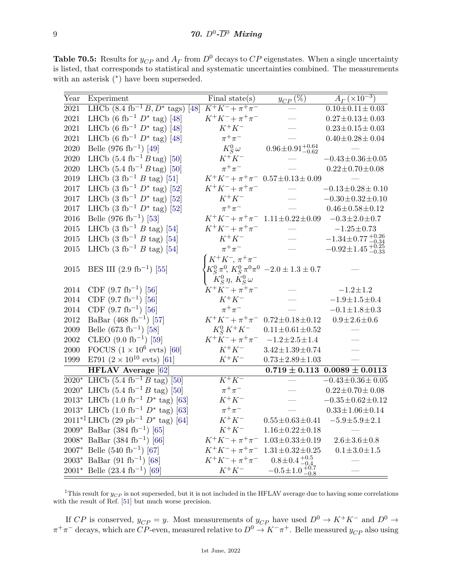**Table 70.5:** Results for  $y_{CP}$  and  $A_\Gamma$  from  $D^0$  decays to  $CP$  eigenstates. When a single uncertainty is listed, that corresponds to statistical and systematic uncertainties combined. The measurements with an asterisk  $(*)$  have been superseded.

| Year       | Experiment                                                    | Final state $(s)$                                        | $\underline{y_{CP}\left(\overline{\%}\right)}$                     | $A_{\Gamma}(\overline{\times 10^{-3}})$ |
|------------|---------------------------------------------------------------|----------------------------------------------------------|--------------------------------------------------------------------|-----------------------------------------|
| 2021       | LHCb $(8.4 \text{ fb}^{-1} B, D^* \text{ tags})$ [48]         | $K^+K^-+\pi^+\pi^-$                                      |                                                                    | $0.10 \pm 0.11 \pm 0.03$                |
| $2021\,$   | LHCb (6 fb <sup>-1</sup> $D^*$ tag) [48]                      | $K^+K^- + \pi^+\pi^-$                                    |                                                                    | $0.27\!\pm\!0.13\!\pm\!0.03$            |
| $2021\,$   | LHCb (6 fb <sup>-1</sup> $D^*$ tag) [48]                      | $K^+K^-$                                                 |                                                                    | $0.23 \!\pm\! 0.15 \!\pm\! 0.03$        |
| 2021       | LHCb (6 fb <sup>-1</sup> $D^*$ tag) [48]                      | $\pi^+\pi^-$                                             |                                                                    | $0.40 \pm 0.28 \pm 0.04$                |
| 2020       | Belle (976 fb <sup>-1</sup> ) [49]                            | $K^0_S \omega$                                           | $0.96 \pm 0.91^{+0.64}_{-0.62}$                                    |                                         |
| 2020       | LHCb $(5.4 \text{ fb}^{-1} B \text{tag})$ [50]                | $K^+K^-$                                                 |                                                                    | $-0.43 \pm 0.36 \pm 0.05$               |
| 2020       | LHCb $(5.4 \text{ fb}^{-1} B \text{tag})$ [50]                | $\pi^+\pi^-$                                             |                                                                    | $0.22 \pm 0.70 \pm 0.08$                |
| 2019       | LHCb $(3 \text{ fb}^{-1} B \text{ tag})$ [51]                 |                                                          | $K^+K^-+\pi^+\pi^-$ 0.57 $\pm$ 0.13 $\pm$ 0.09                     |                                         |
| 2017       | LHCb $(3 \text{ fb}^{-1} D^* \text{tag})$ [52]                | $K^+K^- + \pi^+\pi^-$                                    |                                                                    | $-0.13 \pm 0.28 \pm 0.10$               |
| 2017       | LHCb $(3 \text{ fb}^{-1} D^* \text{tag})$ [52]                | $K^+K^-$                                                 |                                                                    | $-0.30 \pm 0.32 \pm 0.10$               |
| 2017       | LHCb $(3 \text{ fb}^{-1} D^* \text{tag})$ [52]                | $\pi^+\pi^-$                                             |                                                                    | $0.46 \pm 0.58 \pm 0.12$                |
| 2016       | Belle (976 fb <sup>-1</sup> ) [53]                            | $K^+K^-+\pi^+\pi^-$                                      | $1.11 \pm 0.22 \pm 0.09$                                           | $-0.3 \pm 2.0 \pm 0.7$                  |
| $\,2015$   | LHCb $(3 \text{ fb}^{-1} B \text{ tag})$ [54]                 | $K^+K^-+\pi^+\pi^-$                                      |                                                                    | $-1.25 \pm 0.73$                        |
| 2015       | LHCb $(3 \text{ fb}^{-1} B \text{ tag})$ [54]                 | $K^+K^-$                                                 |                                                                    | $-1.34\pm0.77\,{}^{+0.26}_{-0.34}$      |
| $\,2015$   | LHCb $(3 \text{ fb}^{-1} B \text{ tag})$ [54]                 | $\pi^+\pi^-$                                             |                                                                    | $-0.92 \pm 1.45_{-0.33}^{+0.25}$        |
| 2015       | BES III $(2.9 \text{ fb}^{-1})$ [55]                          | $K^+K^-$ , $\pi^+\pi^-$<br>$K_S^0 \eta$ , $K_S^0 \omega$ | $K_S^0 \pi^0$ , $K_S^0 \pi^0 \pi^0$ -2.0 $\pm$ 1.3 $\pm$ 0.7       |                                         |
| 2014       | CDF $(9.7 \text{ fb}^{-1})$ [56]                              | $K^+K^- + \pi^+\pi^-$                                    |                                                                    | $-1.2 \pm 1.2$                          |
| 2014       | CDF $(9.7 \text{ fb}^{-1})$ [56]                              | $K^+K^-$                                                 |                                                                    | $-1.9 \pm 1.5 \pm 0.4$                  |
| 2014       | CDF $(9.7 \text{ fb}^{-1})$ [56]                              | $\pi^+\pi^-$                                             |                                                                    | $-0.1 \pm 1.8 \pm 0.3$                  |
| 2012       | BaBar $(468 \text{ fb}^{-1})$ [57]                            | $K^+K^- + \pi^+\pi^-$                                    | $0.72 \pm 0.18 \pm 0.12$                                           | $0.9 \pm 2.6 \pm 0.6$                   |
| 2009       | Belle (673 fb <sup>-1</sup> ) [58]                            | $K_S^0 K^+ K^-$                                          | $0.11 \pm 0.61 \pm 0.52$                                           |                                         |
| $\,2002\,$ | CLEO $(9.0 \text{ fb}^{-1})$ [59]                             | $K^+K^- + \pi^+\pi^-$                                    | $-1.2 \pm 2.5 \pm 1.4$                                             |                                         |
| $2000\,$   | FOCUS $(1 \times 10^6 \text{ evts})$ [60]                     | $K^+K^-$                                                 | $3.42 \pm 1.39 \pm 0.74$                                           |                                         |
| 1999       | E791 $(2 \times 10^{10} \text{ evts})$ [61]                   | $K^+K^-$                                                 | $0.73 \pm 2.89 \pm 1.03$                                           |                                         |
|            | <b>HFLAV</b> Average [62]                                     |                                                          |                                                                    | $0.719 \pm 0.113$ $0.0089 \pm 0.0113$   |
|            | $2020^*$ LHCb $(5.4 \text{ fb}^{-1} B \text{ tag})$ [50]      | $\overline{K^+K^-}$                                      |                                                                    | $-0.43 \pm 0.36 \pm 0.05$               |
|            | $2020^*$ LHCb $(5.4 \text{ fb}^{-1} B \text{ tag})$ [50]      | $\pi^+\pi^-$                                             |                                                                    | $0.22 \pm 0.70 \pm 0.08$                |
|            | 2013* LHCb $(1.0 \text{ fb}^{-1} D^* \text{tag})$ [63]        | $K^+K^-$                                                 |                                                                    | $-0.35 \pm 0.62 \pm 0.12$               |
|            | $2013^*$ LHCb $(1.0 \text{ fb}^{-1} D^* \text{tag})$ [63]     | $\pi^+\pi^-$                                             |                                                                    | $0.33 \pm 1.06 \pm 0.14$                |
|            | $2011^{* \ddagger}$ LHCb (29 pb <sup>-1</sup> $D^*$ tag) [64] | $K^+K^-$                                                 | $0.55 \pm 0.63 \pm 0.41$                                           | $-5.9 \pm 5.9 \pm 2.1$                  |
|            | $2009*$ BaBar (384 fb <sup>-1</sup> ) [65]                    | $K^+K^-$                                                 | $1.16 \pm 0.22 \pm 0.18$                                           |                                         |
|            | $2008^*$ BaBar (384 fb <sup>-1</sup> ) [66]                   | $K^+K^- + \pi^+\pi^-$                                    | $1.03 \pm 0.33 \pm 0.19$                                           | $2.6 \pm 3.6 \pm 0.8$                   |
|            | $2007^*$ Belle (540 fb <sup>-1</sup> ) [67]                   | $K^+K^- + \pi^+\pi^-$                                    | $1.31 \pm 0.32 \pm 0.25$                                           | $0.1 \pm 3.0 \pm 1.5$                   |
|            | $2003^*$ BaBar (91 fb <sup>-1</sup> ) [68]                    | $K^+K^-+\pi^+\pi^-$                                      | $\substack{0.8\pm0.4\,_{-0.4}^{+0.5}\\-0.5\pm1.0\,_{-0.8}^{+0.7}}$ |                                         |
|            | $2001^*$ Belle $(23.4 \text{ fb}^{-1})$ [69]                  | $K^+K^-$                                                 |                                                                    |                                         |

<sup>‡</sup>This result for  $y_{CP}$  is not superseded, but it is not included in the HFLAV average due to having some correlations with the result of Ref. [\[51\]](#page-15-10) but much worse precision.

If *CP* is conserved,  $y_{CP} = y$ . Most measurements of  $y_{CP}$  have used  $D^0 \to K^+K^-$  and  $D^0 \to$  $\pi^+\pi^-$  decays, which are  $CP$ -even, measured relative to  $D^0 \to K^-\pi^+$ . Belle measured  $y_{CP}$  also using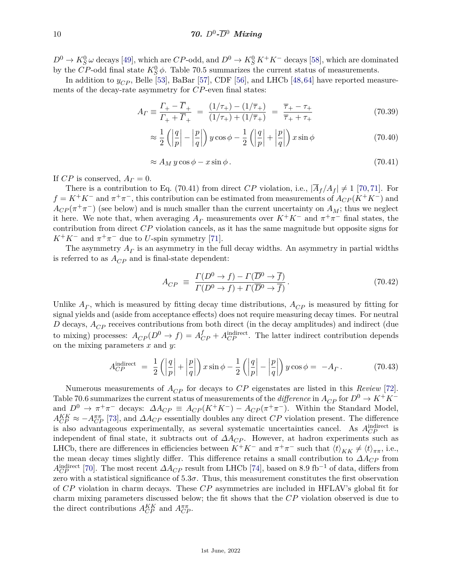$D^0 \to K_S^0 \omega$  decays [\[49\]](#page-15-8), which are *CP*-odd, and  $D^0 \to K_S^0 K^+ K^-$  decays [\[58\]](#page-15-17), which are dominated by the *CP*-odd final state  $K_S^0 \phi$ . Table 70.5 summarizes the current status of measurements.

In addition to  $y_{CP}$ , Belle [\[53\]](#page-15-12), BaBar [\[57\]](#page-15-16), CDF [\[56\]](#page-15-15), and LHCb [\[48,](#page-15-7)[64\]](#page-15-23) have reported measurements of the decay-rate asymmetry for *CP*-even final states:

$$
A_{\Gamma} \equiv \frac{\Gamma_{+} - \overline{\Gamma}_{+}}{\Gamma_{+} + \overline{\Gamma}_{+}} = \frac{(1/\tau_{+}) - (1/\overline{\tau}_{+})}{(1/\tau_{+}) + (1/\overline{\tau}_{+})} = \frac{\overline{\tau}_{+} - \tau_{+}}{\overline{\tau}_{+} + \tau_{+}}
$$
(70.39)

$$
\approx \frac{1}{2} \left( \left| \frac{q}{p} \right| - \left| \frac{p}{q} \right| \right) y \cos \phi - \frac{1}{2} \left( \left| \frac{q}{p} \right| + \left| \frac{p}{q} \right| \right) x \sin \phi \tag{70.40}
$$

$$
\approx A_M y \cos \phi - x \sin \phi. \tag{70.41}
$$

If *CP* is conserved,  $A_\Gamma = 0$ .

There is a contribution to Eq. (70.41) from direct *CP* violation, i.e.,  $|\overline{A}_f/A_f| \neq 1$  [\[70,](#page-15-29) [71\]](#page-15-30). For  $f = K^+K^-$  and  $\pi^+\pi^-$ , this contribution can be estimated from measurements of  $A_{CP}(K^+K^-)$  and  $A_{CP}(\pi^+\pi^-)$  (see below) and is much smaller than the current uncertainty on  $A_M$ ; thus we neglect it here. We note that, when averaging  $A_\Gamma$  measurements over  $K^+K^-$  and  $\pi^+\pi^-$  final states, the contribution from direct *CP* violation cancels, as it has the same magnitude but opposite signs for  $K^+K^-$  and  $\pi^+\pi^-$  due to *U*-spin symmetry [\[71\]](#page-15-30).

The asymmetry  $A_{\Gamma}$  is an asymmetry in the full decay widths. An asymmetry in partial widths is referred to as  $A_{CP}$  and is final-state dependent:

$$
A_{CP} \equiv \frac{\Gamma(D^0 \to f) - \Gamma(\overline{D}^0 \to \overline{f})}{\Gamma(D^0 \to f) + \Gamma(\overline{D}^0 \to \overline{f})}.
$$
\n(70.42)

Unlike  $A<sub>\Gamma</sub>$ , which is measured by fitting decay time distributions,  $A<sub>CP</sub>$  is measured by fitting for signal yields and (aside from acceptance effects) does not require measuring decay times. For neutral *D* decays,  $A_{CP}$  receives contributions from both direct (in the decay amplitudes) and indirect (due to mixing) processes:  $A_{CP}(D^0 \to f) = A_{CP}^f + A_{CP}^{\text{indirect}}$ . The latter indirect contribution depends on the mixing parameters *x* and *y*:

$$
A_{CP}^{\text{indirect}} = \frac{1}{2} \left( \left| \frac{q}{p} \right| + \left| \frac{p}{q} \right| \right) x \sin \phi - \frac{1}{2} \left( \left| \frac{q}{p} \right| - \left| \frac{p}{q} \right| \right) y \cos \phi = -A_{\Gamma}. \tag{70.43}
$$

Numerous measurements of  $A_{CP}$  for decays to  $CP$  eigenstates are listed in this *Review* [\[72\]](#page-15-31). Table 70.6 summarizes the current status of measurements of the *difference* in  $A_{CP}$  for  $D^0 \to K^+K^$ and  $D^0 \to \pi^+\pi^-$  decays:  $\Delta A_{CP} \equiv A_{CP}(K^+K^-) - A_{CP}(\pi^+\pi^-)$ . Within the Standard Model,  $A_{CP}^{KK} \approx -A_{CP}^{\pi\pi}$  [\[73\]](#page-15-32), and  $\Delta A_{CP}$  essentially doubles any direct *CP* violation present. The difference is also advantageous experimentally, as several systematic uncertainties cancel. As  $A_{CP}^{\text{indirect}}$  is independent of final state, it subtracts out of  $\Delta A_{CP}$ . However, at hadron experiments such as LHCb, there are differences in efficiencies between  $K^+K^-$  and  $\pi^+\pi^-$  such that  $\langle t \rangle_{KK} \neq \langle t \rangle_{\pi\pi}$ , i.e., the mean decay times slightly differ. This difference retains a small contribution to *∆ACP* from  $A_{CP}^{\text{indirect}}$  [\[70\]](#page-15-29). The most recent  $\Delta A_{CP}$  result from LHCb [\[74\]](#page-15-33), based on 8.9 fb<sup>-1</sup> of data, differs from zero with a statistical significance of  $5.3\sigma$ . Thus, this measurement constitutes the first observation of *CP* violation in charm decays. These *CP* asymmetries are included in HFLAV's global fit for charm mixing parameters discussed below; the fit shows that the *CP* violation observed is due to the direct contributions  $A_{CP}^{KK}$  and  $A_{CP}^{\pi\pi}$ .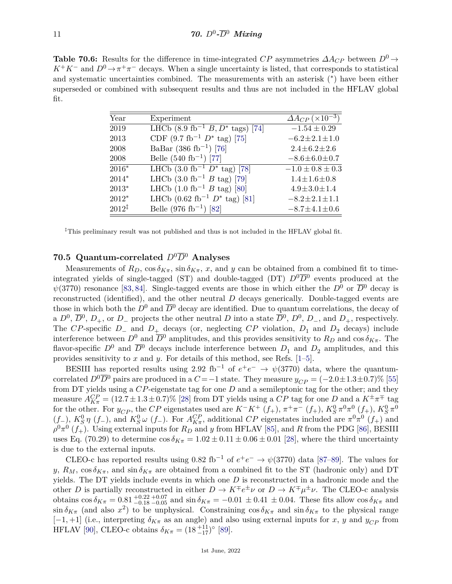**Table 70.6:** Results for the difference in time-integrated *CP* asymmetries  $\Delta A_{CP}$  between  $D^0 \rightarrow$  $K^+K^-$  and  $D^0 \to \pi^+\pi^-$  decays. When a single uncertainty is listed, that corresponds to statistical and systematic uncertainties combined. The measurements with an asterisk (<sup>∗</sup> ) have been either superseded or combined with subsequent results and thus are not included in the HFLAV global fit.

| Year              | Experiment                                            | $\Delta A_{CP}$ (×10 <sup>-3</sup> ) |
|-------------------|-------------------------------------------------------|--------------------------------------|
| 2019              | LHCb $(8.9 \text{ fb}^{-1} B, D^* \text{ tags})$ [74] | $-1.54 \pm 0.29$                     |
| 2013              | CDF $(9.7 \text{ fb}^{-1} D^* \text{tag})$ [75]       | $-6.2 \pm 2.1 \pm 1.0$               |
| 2008              | BaBar (386 fb <sup>-1</sup> ) [76]                    | $2.4 \pm 6.2 \pm 2.6$                |
| 2008              | Belle $(540 \text{ fb}^{-1})$ [77]                    | $-8.6 \pm 6.0 \pm 0.7$               |
| $2016*$           | LHCb $(3.0 \text{ fb}^{-1} D^* \text{tag})$ [78]      | $-1.0 \pm 0.8 \pm 0.3$               |
| $2014*$           | LHCb $(3.0 \text{ fb}^{-1} B \text{ tag})$ [79]       | $1.4 \pm 1.6 \pm 0.8$                |
| $2013*$           | LHCb $(1.0 \text{ fb}^{-1} B \text{ tag})$ [80]       | $4.9 \pm 3.0 \pm 1.4$                |
| $2012*$           | LHCb $(0.62 \text{ fb}^{-1} D^* \text{tag})$ [81]     | $-8.2 \pm 2.1 \pm 1.1$               |
| $2012^{\ddagger}$ | Belle (976 fb <sup>-1</sup> ) [82]                    | $-8.7 \pm 4.1 \pm 0.6$               |

‡This preliminary result was not published and thus is not included in the HFLAV global fit.

## **70.5 Quantum-correlated**  $D^0\overline{D}^0$  **Analyses**

Measurements of  $R_D$ ,  $\cos \delta_{K\pi}$ ,  $\sin \delta_{K\pi}$ , x, and y can be obtained from a combined fit to timeintegrated yields of single-tagged (ST) and double-tagged (DT)  $D^0\overline{D}^0$  events produced at the  $\psi(3770)$  resonance [\[83,](#page-16-4) [84\]](#page-16-5). Single-tagged events are those in which either the *D*<sup>0</sup> or  $\overline{D}^0$  decay is reconstructed (identified), and the other neutral *D* decays generically. Double-tagged events are those in which both the  $D^0$  and  $\overline{D}^0$  decay are identified. Due to quantum correlations, the decay of a  $D^0$ ,  $\overline{D}^0$ ,  $D_+$ , or  $D_-$  projects the other neutral *D* into a state  $\overline{D}^0$ ,  $D^0$ ,  $D_-$ , and  $D_+$ , respectively. The *CP*-specific  $D_$  and  $D_+$  decays (or, neglecting *CP* violation,  $D_1$  and  $D_2$  decays) include interference between  $D^0$  and  $\overline{D}^0$  amplitudes, and this provides sensitivity to  $R_D$  and cos  $\delta_{K\pi}$ . The flavor-specific  $D^0$  and  $\overline{D}^0$  decays include interference between  $D_1$  and  $D_2$  amplitudes, and this provides sensitivity to *x* and *y*. For details of this method, see Refs. [\[1](#page-13-0)[–5\]](#page-13-1).

BESIII has reported results using 2.92 fb<sup>-1</sup> of  $e^+e^- \rightarrow \psi(3770)$  data, where the quantumcorrelated  $D^0\overline{D}^0$  pairs are produced in a *C* = −1 state. They measure  $y_{CP}$  = (−2*.*0±1*.*3±0*.*7)% [\[55\]](#page-15-14) from DT yields using a *CP*-eigenstate tag for one *D* and a semileptonic tag for the other; and they measure  $A_{K\pi}^{CP} = (12.7 \pm 1.3 \pm 0.7)\%$  [\[28\]](#page-14-22) from DT yields using a *CP* tag for one *D* and a  $K^{\pm}\pi^{\mp}$  tag for the other. For  $y_{CP}$ , the *CP* eigenstates used are  $K^-K^+$  ( $f_+$ ),  $\pi^+\pi^-$  ( $f_+$ ),  $K_S^0 \pi^0 \pi^0$  ( $f_+$ ),  $K_S^0 \pi^0$  $(f_-)$ ,  $K_S^0 \eta$  ( $f_-$ ), and  $K_S^0 \omega$  ( $f_-$ ). For  $A_{K\pi}^{CP}$ , additional *CP* eigenstates included are  $\pi^0 \pi^0$  ( $f_+$ ) and  $\rho^0 \pi^0$  (*f*<sub>+</sub>). Using external inputs for  $R_D$  and *y* from HFLAV [\[85\]](#page-16-6), and *R* from the PDG [\[86\]](#page-16-7), BESIII uses Eq. (70.29) to determine  $\cos \delta_{K\pi} = 1.02 \pm 0.11 \pm 0.06 \pm 0.01$  [\[28\]](#page-14-22), where the third uncertainty is due to the external inputs.

CLEO-c has reported results using  $0.82 \text{ fb}^{-1}$  of  $e^+e^- \rightarrow \psi(3770)$  data [\[87](#page-16-8)[–89\]](#page-16-9). The values for *y*,  $R_M$ ,  $\cos \delta_{K\pi}$ , and  $\sin \delta_{K\pi}$  are obtained from a combined fit to the ST (hadronic only) and DT yields. The DT yields include events in which one *D* is reconstructed in a hadronic mode and the other *D* is partially reconstructed in either  $D \to K^{\mp}e^{\pm}\nu$  or  $D \to K^{\mp}\mu^{\pm}\nu$ . The CLEO-c analysis obtains  $\cos \delta_{K\pi} = 0.81^{+0.22}_{-0.18}_{-0.05}$  and  $\sin \delta_{K\pi} = -0.01 \pm 0.41 \pm 0.04$ . These fits allow  $\cos \delta_{K\pi}$  and  $\sin \delta_{K\pi}$  (and also *x*<sup>2</sup>) to be unphysical. Constraining  $\cos \delta_{K\pi}$  and  $\sin \delta_{K\pi}$  to the physical range  $[-1, +1]$  (i.e., interpreting  $\delta_{K\pi}$  as an angle) and also using external inputs for *x*, *y* and  $y_{CP}$  from HFLAV [\[90\]](#page-16-10), CLEO-c obtains  $\delta_{K\pi} = (18 \frac{+11}{-17})^{\circ}$  [\[89\]](#page-16-9).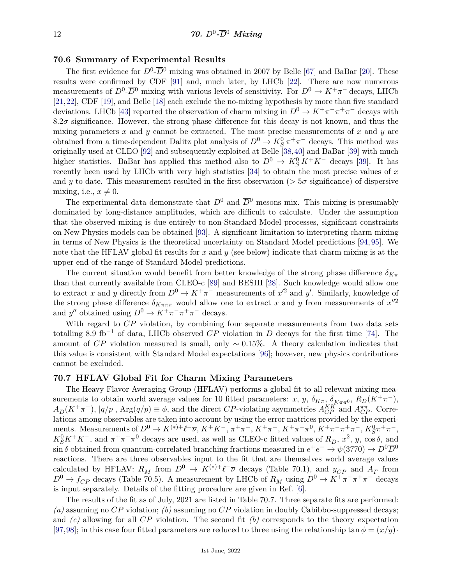#### **70.6 Summary of Experimental Results**

The first evidence for  $D^0$ - $\overline{D}{}^0$  mixing was obtained in 2007 by Belle [\[67\]](#page-15-26) and BaBar [\[20\]](#page-14-14). These results were confirmed by CDF [\[91\]](#page-16-11) and, much later, by LHCb [\[22\]](#page-14-16). There are now numerous measurements of  $D^0$ - $\overline{D}^0$  mixing with various levels of sensitivity. For  $D^0 \to K^+\pi^-$  decays, LHCb [\[21,](#page-14-15)[22\]](#page-14-16), CDF [\[19\]](#page-14-13), and Belle [\[18\]](#page-14-12) each exclude the no-mixing hypothesis by more than five standard deviations. LHCb [\[43\]](#page-15-2) reported the observation of charm mixing in  $D^0 \to K^+\pi^-\pi^+\pi^-$  decays with  $8.2\sigma$  significance. However, the strong phase difference for this decay is not known, and thus the mixing parameters *x* and *y* cannot be extracted. The most precise measurements of *x* and *y* are obtained from a time-dependent Dalitz plot analysis of  $D^0 \to K_S^0 \pi^+ \pi^-$  decays. This method was originally used at CLEO [\[92\]](#page-16-12) and subsequently exploited at Belle [\[38,](#page-14-32)[40\]](#page-14-34) and BaBar [\[39\]](#page-14-33) with much higher statistics. BaBar has applied this method also to  $D^0 \to K_S^0 K^+ K^-$  decays [\[39\]](#page-14-33). It has recently been used by LHCb with very high statistics [\[34\]](#page-14-28) to obtain the most precise values of *x* and *y* to date. This measurement resulted in the first observation ( $> 5\sigma$  significance) of dispersive mixing, i.e.,  $x \neq 0$ .

The experimental data demonstrate that  $D^0$  and  $\overline{D}^0$  mesons mix. This mixing is presumably dominated by long-distance amplitudes, which are difficult to calculate. Under the assumption that the observed mixing is due entirely to non-Standard Model processes, significant constraints on New Physics models can be obtained [\[93\]](#page-16-13). A significant limitation to interpreting charm mixing in terms of New Physics is the theoretical uncertainty on Standard Model predictions [\[94,](#page-16-14) [95\]](#page-16-15). We note that the HFLAV global fit results for *x* and *y* (see below) indicate that charm mixing is at the upper end of the range of Standard Model predictions.

The current situation would benefit from better knowledge of the strong phase difference  $\delta_{K\pi}$ than that currently available from CLEO-c [\[89\]](#page-16-9) and BESIII [\[28\]](#page-14-22). Such knowledge would allow one to extract x and y directly from  $D^0 \to K^+\pi^-$  measurements of  $x'^2$  and y'. Similarly, knowledge of the strong phase difference  $\delta_{K\pi\pi\pi}$  would allow one to extract x and y from measurements of  $x''^2$ and *y*<sup>*''*</sup> obtained using  $D^0 \to K^+\pi^-\pi^+\pi^-$  decays.

With regard to  $CP$  violation, by combining four separate measurements from two data sets totalling 8.9 fb−<sup>1</sup> of data, LHCb observed *CP* violation in *D* decays for the first time [\[74\]](#page-15-33). The amount of *CP* violation measured is small, only ∼ 0*.*15%. A theory calculation indicates that this value is consistent with Standard Model expectations [\[96\]](#page-16-16); however, new physics contributions cannot be excluded.

#### **70.7 HFLAV Global Fit for Charm Mixing Parameters**

The Heavy Flavor Averaging Group (HFLAV) performs a global fit to all relevant mixing measurements to obtain world average values for 10 fitted parameters: *x*, *y*,  $\delta_{K\pi}$ ,  $\delta_{K\pi\pi}$ ,  $R_D(K^+\pi^-)$ ,  $A_D(K^+\pi^-)$ ,  $|q/p|$ ,  $Arg(q/p) \equiv \phi$ , and the direct *CP*-violating asymmetries  $A_{CP}^{KK^*}$  and  $A_{CP}^{\pi\pi}$ . Correlations among observables are taken into account by using the error matrices provided by the experiments. Measurements of  $D^0 \to K^{(*)+} \ell^- \overline{\nu}$ ,  $K^+ K^-$ ,  $\pi^+ \pi^-$ ,  $K^+ \pi^-$ ,  $K^+ \pi^- \pi^0$ ,  $K^+ \pi^- \pi^+ \pi^-$ ,  $K_S^0 \pi^+ \pi^-$ ,  $K_S^0 K^+ K^-$ , and  $\pi^+ \pi^- \pi^0$  decays are used, as well as CLEO-c fitted values of  $R_D$ ,  $x^2$ ,  $y$ ,  $\cos \delta$ , and  $\sin \delta$  obtained from quantum-correlated branching fractions measured in  $e^+e^- \to \psi(3770) \to D^0\overline{D}^0$ reactions. There are three observables input to the fit that are themselves world average values calculated by HFLAV:  $R_M$  from  $D^0 \to K^{(*)+} \ell^- \overline{\nu}$  decays (Table 70.1), and  $y_{CP}$  and  $A_\Gamma$  from  $D^0 \to f_{CP}$  decays (Table 70.5). A measurement by LHCb of  $R_M$  using  $D^0 \to K^+\pi^-\pi^+\pi^-$  decays is input separately. Details of the fitting procedure are given in Ref. [\[6\]](#page-14-0).

The results of the fit as of July, 2021 are listed in Table 70.7. Three separate fits are performed: *(a)* assuming no *CP* violation; *(b)* assuming no *CP* violation in doubly Cabibbo-suppressed decays; and *(c)* allowing for all *CP* violation. The second fit *(b)* corresponds to the theory expectation [\[97,](#page-16-17)[98\]](#page-16-18); in this case four fitted parameters are reduced to three using the relationship tan  $\phi = (x/y)$ ·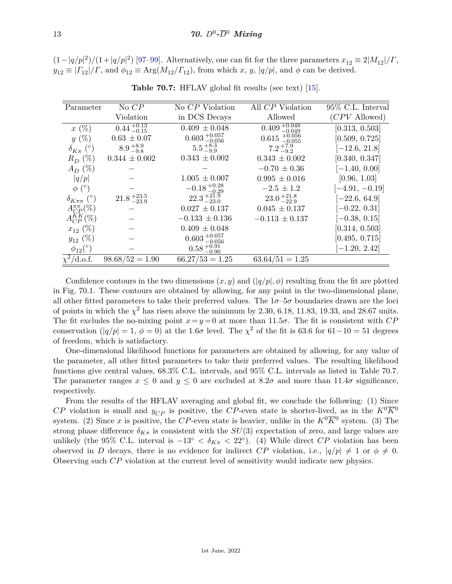$(1-|q/p|^2)/(1+|q/p|^2)$  [\[97–](#page-16-17)[99\]](#page-16-19). Alternatively, one can fit for the three parameters  $x_{12} \equiv 2|M_{12}|/F$ ,  $y_{12} \equiv | \Gamma_{12} | / \Gamma$ , and  $\phi_{12} \equiv \text{Arg}(M_{12}/\Gamma_{12})$ , from which *x*, *y*, |*q*/*p*|, and  $\phi$  can be derived.

| Parameter                  | No CP                      | No CP Violation           | All CP Violation              | $95\%$ C.L. Interval |
|----------------------------|----------------------------|---------------------------|-------------------------------|----------------------|
|                            | Violation                  | in DCS Decays             | Allowed                       | $(CPV$ Allowed)      |
| $x(\%)$                    | $0.44_{\,-0.15}^{\,+0.13}$ | $0.409 \pm 0.048$         | $0.409_{-0.049}^{+0.048}$     | [0.313, 0.503]       |
| $y(\%)$                    | $0.63 \pm 0.07$            | $0.603_{-0.056}^{+0.057}$ | $0.615 \; _{-0.055}^{+0.056}$ | [0.509, 0.725]       |
| $\delta_{K_{\pi}}$ (°)     | $8.9_{-9.8}^{+8.9}$        | $5.5_{-9.9}^{+8.3}$       | $7.2_{-9.2}^{+7.9}$           | $[-12.6, 21.8]$      |
| $R_D$ (%)                  | $0.344 \pm 0.002$          | $0.343 \pm 0.002$         | $0.343 \pm 0.002$             | [0.340, 0.347]       |
| $A_D$ (%)                  |                            |                           | $-0.70 \pm 0.36$              | $[-1.40, 0.00]$      |
| q/p                        |                            | $1.005 \pm 0.007$         | $0.995 \pm 0.016$             | [0.96, 1.03]         |
| $\phi$ (°)                 |                            | $-0.18_{-0.29}^{+0.28}$   | $-2.5 \pm 1.2$                | $[-4.91, -0.19]$     |
| $\delta_{K\pi\pi}$ (°)     | $21.8_{\,-23.9}^{\,+23.5}$ | $22.3_{-23.0}^{+21.9}$    | $23.0_{-22.9}^{+21.8}$        | $[-22.6, 64.9]$      |
| $A_{CP}^{\pi\pi}(\%)$      |                            | $0.027 \pm 0.137$         | $0.045 \pm 0.137$             | $[-0.22, 0.31]$      |
| $A_{CP}^{KK}$ (%)          |                            | $-0.133 \pm 0.136$        | $-0.113 \pm 0.137$            | $[-0.38, 0.15]$      |
| $x_{12}$ (%)               |                            | $0.409 \pm 0.048$         |                               | [0.314, 0.503]       |
| $y_{12}$ (%)               |                            | $0.603_{-0.056}^{+0.057}$ |                               | [0.495, 0.715]       |
| $\phi_{12}$ <sup>(°)</sup> |                            | $0.58_{-0.90}^{+0.91}$    |                               | $[-1.20, 2.42]$      |
| $\chi^2$ /d.o.f.           | $98.68/52 = 1.90$          | $66.27/53 = 1.25$         | $63.64/51 = 1.25$             |                      |

**Table 70.7:** HFLAV global fit results (see text) [\[15\]](#page-14-9).

Confidence contours in the two dimensions  $(x, y)$  and  $(|q/p|, \phi)$  resulting from the fit are plotted in Fig. 70.1. These contours are obtained by allowing, for any point in the two-dimensional plane, all other fitted parameters to take their preferred values. The 1*σ*–5*σ* boundaries drawn are the loci of points in which the  $\chi^2$  has risen above the minimum by 2.30, 6.18, 11.83, 19.33, and 28.67 units. The fit excludes the no-mixing point  $x = y = 0$  at more than 11.5 $\sigma$ . The fit is consistent with *CP* conservation ( $|q/p| = 1, \phi = 0$ ) at the 1*.6σ* level. The  $\chi^2$  of the fit is 63.6 for 61-10 = 51 degrees of freedom, which is satisfactory.

One-dimensional likelihood functions for parameters are obtained by allowing, for any value of the parameter, all other fitted parameters to take their preferred values. The resulting likelihood functions give central values, 68.3% C.L. intervals, and 95% C.L. intervals as listed in Table 70.7. The parameter ranges  $x \leq 0$  and  $y \leq 0$  are excluded at 8.2 $\sigma$  and more than 11.4 $\sigma$  significance, respectively.

From the results of the HFLAV averaging and global fit, we conclude the following: (1) Since *CP* violation is small and  $y_{CP}$  is positive, the *CP*-even state is shorter-lived, as in the  $K^0\overline{K}^0$ system. (2) Since x is positive, the CP-even state is heavier, unlike in the  $K^0\overline{K}0$  system. (3) The strong phase difference  $\delta_{K\pi}$  is consistent with the  $SU(3)$  expectation of zero, and large values are unlikely (the 95% C.L. interval is  $-13° < \delta_{K\pi} < 22°$ ). (4) While direct *CP* violation has been observed in *D* decays, there is no evidence for indirect *CP* violation, i.e.,  $|q/p| \neq 1$  or  $\phi \neq 0$ . Observing such *CP* violation at the current level of sensitivity would indicate new physics.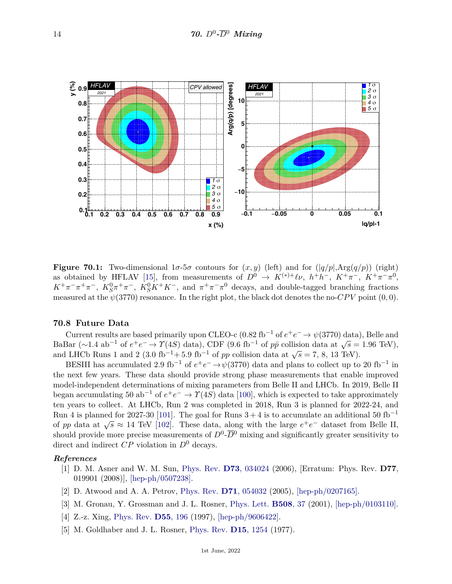

**Figure 70.1:** Two-dimensional  $1\sigma$ -5 $\sigma$  contours for  $(x, y)$  (left) and for  $(|q/p|, Arg(q/p))$  (right) as obtained by HFLAV [\[15\]](#page-14-9), from measurements of  $D^0 \rightarrow K^{(*)+} \ell \nu$ ,  $h^+ h^-$ ,  $K^+ \pi^-$ ,  $K^+ \pi^- \pi^0$ ,  $K^+\pi^-\pi^+\pi^-$ ,  $K_S^0\pi^+\pi^-$ ,  $K_S^0K^+K^-$ , and  $\pi^+\pi^-\pi^0$  decays, and double-tagged branching fractions measured at the  $\psi(3770)$  resonance. In the right plot, the black dot denotes the no-*CPV* point  $(0,0)$ .

#### **70.8 Future Data**

Current results are based primarily upon CLEO-c (0.82 fb<sup>-1</sup> of  $e^+e^- \to \psi(3770)$  data), Belle and BaBar ( $\sim$ 1.4 ab<sup>-1</sup> of  $e^+e^- \rightarrow \gamma$ (4*S*) data), CDF (9.6 fb<sup>-1</sup> of *pp* collision data at  $\sqrt{s}$  = 1.96 TeV),  $\Delta$ **EXECUTE:** And LHCb Runs 1 and 2 (3.0 fb<sup>-1</sup>+ 5.9 fb<sup>-1</sup> of *pp* collision data at  $\sqrt{s}$  = 7, 8, 13 TeV).

BESIII has accumulated 2.9 fb<sup>-1</sup> of  $e^+e^- \rightarrow \psi(3770)$  data and plans to collect up to 20 fb<sup>-1</sup> in the next few years. These data should provide strong phase measurements that enable improved model-independent determinations of mixing parameters from Belle II and LHCb. In 2019, Belle II began accumulating 50 ab<sup>-1</sup> of  $e^+e^- \to \Upsilon(4S)$  data [\[100\]](#page-16-20), which is expected to take approximately ten years to collect. At LHCb, Run 2 was completed in 2018, Run 3 is planned for 2022-24, and Run 4 is planned for 2027-30 [\[101\]](#page-16-21). The goal for Runs  $3+4$  is to accumulate an additional 50 fb<sup>-1</sup> of *pp* data at  $\sqrt{s} \approx 14$  TeV [\[102\]](#page-16-22). The goal for Runs  $3+4$  is to accumulate an additional 50 to of *pp* data at  $\sqrt{s} \approx 14$  TeV [102]. These data, along with the large  $e^+e^-$  dataset from Belle II, should provide more precise measurements of  $D^0$ - $\overline{D}{}^0$  mixing and significantly greater sensitivity to direct and indirect *CP* violation in *D*<sup>0</sup> decays.

#### <span id="page-13-0"></span>*References*

- [1] D. M. Asner and W. M. Sun, [Phys. Rev.](http://doi.org/10.1103/PhysRevD.73.034024) **D73**[, 034024](http://doi.org/10.1103/PhysRevD.73.034024) (2006), [Erratum: Phys. Rev. **D77**, 019901 (2008)], [\[hep-ph/0507238\].](https://arxiv.org/abs/hep-ph/0507238)
- [2] D. Atwood and A. A. Petrov, [Phys. Rev.](http://doi.org/10.1103/PhysRevD.71.054032) **D71**[, 054032](http://doi.org/10.1103/PhysRevD.71.054032) (2005), [\[hep-ph/0207165\].](https://arxiv.org/abs/hep-ph/0207165)
- [3] M. Gronau, Y. Grossman and J. L. Rosner, [Phys. Lett.](http://doi.org/10.1016/S0370-2693(01)00426-9) **[B508](http://doi.org/10.1016/S0370-2693(01)00426-9)**, 37 (2001), [\[hep-ph/0103110\].](https://arxiv.org/abs/hep-ph/0103110)
- [4] Z.-z. Xing, [Phys. Rev.](http://doi.org/10.1103/PhysRevD.55.196) **D55**[, 196](http://doi.org/10.1103/PhysRevD.55.196) (1997), [\[hep-ph/9606422\].](https://arxiv.org/abs/hep-ph/9606422)
- <span id="page-13-1"></span>[5] M. Goldhaber and J. L. Rosner, [Phys. Rev.](http://doi.org/10.1103/PhysRevD.15.1254) **D15**[, 1254](http://doi.org/10.1103/PhysRevD.15.1254) (1977).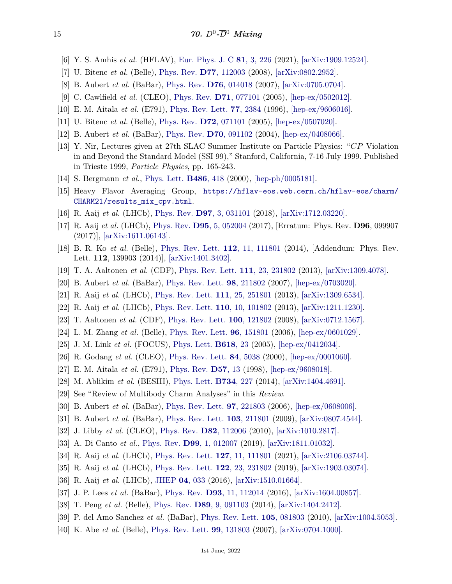- <span id="page-14-0"></span>[6] Y. S. Amhis *et al.* (HFLAV), [Eur. Phys. J. C](http://doi.org/10.1140/epjc/s10052-020-8156-7) **81**[, 3, 226](http://doi.org/10.1140/epjc/s10052-020-8156-7) (2021), [\[arXiv:1909.12524\].](https://arxiv.org/abs/1909.12524)
- <span id="page-14-1"></span>[7] U. Bitenc *et al.* (Belle), [Phys. Rev.](http://doi.org/10.1103/PhysRevD.77.112003) **D77**[, 112003](http://doi.org/10.1103/PhysRevD.77.112003) (2008), [\[arXiv:0802.2952\].](https://arxiv.org/abs/0802.2952)
- <span id="page-14-2"></span>[8] B. Aubert *et al.* (BaBar), [Phys. Rev.](http://doi.org/10.1103/PhysRevD.76.014018) **D76**[, 014018](http://doi.org/10.1103/PhysRevD.76.014018) (2007), [\[arXiv:0705.0704\].](https://arxiv.org/abs/0705.0704)
- <span id="page-14-3"></span>[9] C. Cawlfield *et al.* (CLEO), [Phys. Rev.](http://doi.org/10.1103/PhysRevD.71.077101) **D71**[, 077101](http://doi.org/10.1103/PhysRevD.71.077101) (2005), [\[hep-ex/0502012\].](https://arxiv.org/abs/hep-ex/0502012)
- <span id="page-14-4"></span>[10] E. M. Aitala *et al.* (E791), [Phys. Rev. Lett.](http://doi.org/10.1103/PhysRevLett.77.2384) **77**[, 2384](http://doi.org/10.1103/PhysRevLett.77.2384) (1996), [\[hep-ex/9606016\].](https://arxiv.org/abs/hep-ex/9606016)
- <span id="page-14-5"></span>[11] U. Bitenc *et al.* (Belle), [Phys. Rev.](http://doi.org/10.1103/PhysRevD.72.071101) **D72**[, 071101](http://doi.org/10.1103/PhysRevD.72.071101) (2005), [\[hep-ex/0507020\].](https://arxiv.org/abs/hep-ex/0507020)
- <span id="page-14-6"></span>[12] B. Aubert *et al.* (BaBar), [Phys. Rev.](http://doi.org/10.1103/PhysRevD.70.091102) **D70**[, 091102](http://doi.org/10.1103/PhysRevD.70.091102) (2004), [\[hep-ex/0408066\].](https://arxiv.org/abs/hep-ex/0408066)
- <span id="page-14-7"></span>[13] Y. Nir, Lectures given at 27th SLAC Summer Institute on Particle Physics: "*CP* Violation in and Beyond the Standard Model (SSI 99)," Stanford, California, 7-16 July 1999. Published in Trieste 1999, *Particle Physics*, pp. 165-243.
- <span id="page-14-8"></span>[14] S. Bergmann *et al.*, [Phys. Lett.](http://doi.org/10.1016/S0370-2693(00)00772-3) **[B486](http://doi.org/10.1016/S0370-2693(00)00772-3)**, 418 (2000), [\[hep-ph/0005181\].](https://arxiv.org/abs/hep-ph/0005181)
- <span id="page-14-9"></span>[15] Heavy Flavor Averaging Group, [https://hflav-eos.web.cern.ch/hflav-eos/charm/](https://hflav-eos.web.cern.ch/hflav-eos/charm/CHARM21/results_mix_cpv.html) [CHARM21/results\\_mix\\_cpv.html](https://hflav-eos.web.cern.ch/hflav-eos/charm/CHARM21/results_mix_cpv.html).
- <span id="page-14-10"></span>[16] R. Aaij *et al.* (LHCb), [Phys. Rev.](http://doi.org/10.1103/PhysRevD.97.031101) **D97**[, 3, 031101](http://doi.org/10.1103/PhysRevD.97.031101) (2018), [\[arXiv:1712.03220\].](https://arxiv.org/abs/1712.03220)
- <span id="page-14-11"></span>[17] R. Aaij *et al.* (LHCb), [Phys. Rev.](http://doi.org/10.1103/PhysRevD.96.099907) **D95**[, 5, 052004](http://doi.org/10.1103/PhysRevD.96.099907) (2017), [Erratum: Phys. Rev. **D96**, 099907 (2017)], [\[arXiv:1611.06143\].](https://arxiv.org/abs/1611.06143)
- <span id="page-14-12"></span>[18] B. R. Ko *et al.* (Belle), [Phys. Rev. Lett.](http://doi.org/10.1103/PhysRevLett.112.111801) **112**[, 11, 111801](http://doi.org/10.1103/PhysRevLett.112.111801) (2014), [Addendum: Phys. Rev. Lett. **112**, 139903 (2014)], [\[arXiv:1401.3402\].](https://arxiv.org/abs/1401.3402)
- <span id="page-14-13"></span>[19] T. A. Aaltonen *et al.* (CDF), [Phys. Rev. Lett.](http://doi.org/10.1103/PhysRevLett.111.231802) **111**[, 23, 231802](http://doi.org/10.1103/PhysRevLett.111.231802) (2013), [\[arXiv:1309.4078\].](https://arxiv.org/abs/1309.4078)
- <span id="page-14-14"></span>[20] B. Aubert *et al.* (BaBar), [Phys. Rev. Lett.](http://doi.org/10.1103/PhysRevLett.98.211802) **98**[, 211802](http://doi.org/10.1103/PhysRevLett.98.211802) (2007), [\[hep-ex/0703020\].](https://arxiv.org/abs/hep-ex/0703020)
- <span id="page-14-15"></span>[21] R. Aaij *et al.* (LHCb), [Phys. Rev. Lett.](http://doi.org/10.1103/PhysRevLett.111.251801) **111**[, 25, 251801](http://doi.org/10.1103/PhysRevLett.111.251801) (2013), [\[arXiv:1309.6534\].](https://arxiv.org/abs/1309.6534)
- <span id="page-14-16"></span>[22] R. Aaij *et al.* (LHCb), [Phys. Rev. Lett.](http://doi.org/10.1103/PhysRevLett.110.101802) **110**[, 10, 101802](http://doi.org/10.1103/PhysRevLett.110.101802) (2013), [\[arXiv:1211.1230\].](https://arxiv.org/abs/1211.1230)
- <span id="page-14-17"></span>[23] T. Aaltonen *et al.* (CDF), [Phys. Rev. Lett.](http://doi.org/10.1103/PhysRevLett.100.121802) **100**[, 121802](http://doi.org/10.1103/PhysRevLett.100.121802) (2008), [\[arXiv:0712.1567\].](https://arxiv.org/abs/0712.1567)
- <span id="page-14-18"></span>[24] L. M. Zhang *et al.* (Belle), [Phys. Rev. Lett.](http://doi.org/10.1103/PhysRevLett.96.151801) **96**[, 151801](http://doi.org/10.1103/PhysRevLett.96.151801) (2006), [\[hep-ex/0601029\].](https://arxiv.org/abs/hep-ex/0601029)
- <span id="page-14-19"></span>[25] J. M. Link *et al.* (FOCUS), [Phys. Lett.](http://doi.org/10.1016/j.physletb.2005.05.020) **[B618](http://doi.org/10.1016/j.physletb.2005.05.020)**, 23 (2005), [\[hep-ex/0412034\].](https://arxiv.org/abs/hep-ex/0412034)
- <span id="page-14-20"></span>[26] R. Godang *et al.* (CLEO), [Phys. Rev. Lett.](http://doi.org/10.1103/PhysRevLett.84.5038) **84**[, 5038](http://doi.org/10.1103/PhysRevLett.84.5038) (2000), [\[hep-ex/0001060\].](https://arxiv.org/abs/hep-ex/0001060)
- <span id="page-14-21"></span>[27] E. M. Aitala *et al.* (E791), [Phys. Rev.](http://doi.org/10.1103/PhysRevD.57.13) **[D57](http://doi.org/10.1103/PhysRevD.57.13)**, 13 (1998), [\[hep-ex/9608018\].](https://arxiv.org/abs/hep-ex/9608018)
- <span id="page-14-22"></span>[28] M. Ablikim *et al.* (BESIII), [Phys. Lett.](http://doi.org/10.1016/j.physletb.2014.05.071) **[B734](http://doi.org/10.1016/j.physletb.2014.05.071)**, 227 (2014), [\[arXiv:1404.4691\].](https://arxiv.org/abs/1404.4691)
- <span id="page-14-23"></span>[29] See "Review of Multibody Charm Analyses" in this *Review*.
- <span id="page-14-24"></span>[30] B. Aubert *et al.* (BaBar), [Phys. Rev. Lett.](http://doi.org/10.1103/PhysRevLett.97.221803) **97**[, 221803](http://doi.org/10.1103/PhysRevLett.97.221803) (2006), [\[hep-ex/0608006\].](https://arxiv.org/abs/hep-ex/0608006)
- <span id="page-14-25"></span>[31] B. Aubert *et al.* (BaBar), [Phys. Rev. Lett.](http://doi.org/10.1103/PhysRevLett.103.211801) **103**[, 211801](http://doi.org/10.1103/PhysRevLett.103.211801) (2009), [\[arXiv:0807.4544\].](https://arxiv.org/abs/0807.4544)
- <span id="page-14-26"></span>[32] J. Libby *et al.* (CLEO), [Phys. Rev.](http://doi.org/10.1103/PhysRevD.82.112006) **D82**[, 112006](http://doi.org/10.1103/PhysRevD.82.112006) (2010), [\[arXiv:1010.2817\].](https://arxiv.org/abs/1010.2817)
- <span id="page-14-27"></span>[33] A. Di Canto *et al.*, [Phys. Rev.](http://doi.org/10.1103/PhysRevD.99.012007) **D99**[, 1, 012007](http://doi.org/10.1103/PhysRevD.99.012007) (2019), [\[arXiv:1811.01032\].](https://arxiv.org/abs/1811.01032)
- <span id="page-14-28"></span>[34] R. Aaij *et al.* (LHCb), [Phys. Rev. Lett.](http://doi.org/10.1103/PhysRevLett.127.111801) **127**[, 11, 111801](http://doi.org/10.1103/PhysRevLett.127.111801) (2021), [\[arXiv:2106.03744\].](https://arxiv.org/abs/2106.03744)
- <span id="page-14-29"></span>[35] R. Aaij *et al.* (LHCb), [Phys. Rev. Lett.](http://doi.org/10.1103/PhysRevLett.122.231802) **122**[, 23, 231802](http://doi.org/10.1103/PhysRevLett.122.231802) (2019), [\[arXiv:1903.03074\].](https://arxiv.org/abs/1903.03074)
- <span id="page-14-30"></span>[36] R. Aaij *et al.* (LHCb), [JHEP](http://doi.org/10.1007/JHEP04(2016)033) **04**[, 033](http://doi.org/10.1007/JHEP04(2016)033) (2016), [\[arXiv:1510.01664\].](https://arxiv.org/abs/1510.01664)
- <span id="page-14-31"></span>[37] J. P. Lees *et al.* (BaBar), [Phys. Rev.](http://doi.org/10.1103/PhysRevD.93.112014) **D93**[, 11, 112014](http://doi.org/10.1103/PhysRevD.93.112014) (2016), [\[arXiv:1604.00857\].](https://arxiv.org/abs/1604.00857)
- <span id="page-14-32"></span>[38] T. Peng *et al.* (Belle), [Phys. Rev.](http://doi.org/10.1103/PhysRevD.89.091103) **D89**[, 9, 091103](http://doi.org/10.1103/PhysRevD.89.091103) (2014), [\[arXiv:1404.2412\].](https://arxiv.org/abs/1404.2412)
- <span id="page-14-33"></span>[39] P. del Amo Sanchez *et al.* (BaBar), [Phys. Rev. Lett.](http://doi.org/10.1103/PhysRevLett.105.081803) **105**[, 081803](http://doi.org/10.1103/PhysRevLett.105.081803) (2010), [\[arXiv:1004.5053\].](https://arxiv.org/abs/1004.5053)
- <span id="page-14-34"></span>[40] K. Abe *et al.* (Belle), [Phys. Rev. Lett.](http://doi.org/10.1103/PhysRevLett.99.131803) **99**[, 131803](http://doi.org/10.1103/PhysRevLett.99.131803) (2007), [\[arXiv:0704.1000\].](https://arxiv.org/abs/0704.1000)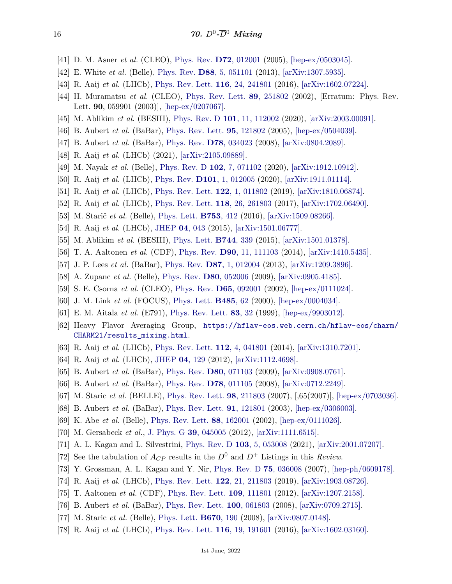- <span id="page-15-0"></span>[41] D. M. Asner *et al.* (CLEO), [Phys. Rev.](http://doi.org/10.1103/PhysRevD.72.012001) **D72**[, 012001](http://doi.org/10.1103/PhysRevD.72.012001) (2005), [\[hep-ex/0503045\].](https://arxiv.org/abs/hep-ex/0503045)
- <span id="page-15-1"></span>[42] E. White *et al.* (Belle), [Phys. Rev.](http://doi.org/10.1103/PhysRevD.88.051101) **D88**[, 5, 051101](http://doi.org/10.1103/PhysRevD.88.051101) (2013), [\[arXiv:1307.5935\].](https://arxiv.org/abs/1307.5935)
- <span id="page-15-2"></span>[43] R. Aaij *et al.* (LHCb), [Phys. Rev. Lett.](http://doi.org/10.1103/PhysRevLett.116.241801) **116**[, 24, 241801](http://doi.org/10.1103/PhysRevLett.116.241801) (2016), [\[arXiv:1602.07224\].](https://arxiv.org/abs/1602.07224)
- <span id="page-15-3"></span>[44] H. Muramatsu *et al.* (CLEO), [Phys. Rev. Lett.](http://doi.org/10.1103/PhysRevLett.90.059901) **89**[, 251802](http://doi.org/10.1103/PhysRevLett.90.059901) (2002), [Erratum: Phys. Rev. Lett. **90**, 059901 (2003)], [\[hep-ex/0207067\].](https://arxiv.org/abs/hep-ex/0207067)
- <span id="page-15-4"></span>[45] M. Ablikim *et al.* (BESIII), [Phys. Rev. D](http://doi.org/10.1103/PhysRevD.101.112002) **101**[, 11, 112002](http://doi.org/10.1103/PhysRevD.101.112002) (2020), [\[arXiv:2003.00091\].](https://arxiv.org/abs/2003.00091)
- <span id="page-15-5"></span>[46] B. Aubert *et al.* (BaBar), [Phys. Rev. Lett.](http://doi.org/10.1103/PhysRevLett.95.121802) **95**[, 121802](http://doi.org/10.1103/PhysRevLett.95.121802) (2005), [\[hep-ex/0504039\].](https://arxiv.org/abs/hep-ex/0504039)
- <span id="page-15-6"></span>[47] B. Aubert *et al.* (BaBar), [Phys. Rev.](http://doi.org/10.1103/PhysRevD.78.034023) **D78**[, 034023](http://doi.org/10.1103/PhysRevD.78.034023) (2008), [\[arXiv:0804.2089\].](https://arxiv.org/abs/0804.2089)
- <span id="page-15-7"></span>[48] R. Aaij *et al.* (LHCb) (2021), [\[arXiv:2105.09889\].](https://arxiv.org/abs/2105.09889)
- <span id="page-15-8"></span>[49] M. Nayak *et al.* (Belle), [Phys. Rev. D](http://doi.org/10.1103/PhysRevD.102.071102) **102**[, 7, 071102](http://doi.org/10.1103/PhysRevD.102.071102) (2020), [\[arXiv:1912.10912\].](https://arxiv.org/abs/1912.10912)
- <span id="page-15-9"></span>[50] R. Aaij *et al.* (LHCb), [Phys. Rev.](http://doi.org/10.1103/PhysRevD.101.012005) **D101**[, 1, 012005](http://doi.org/10.1103/PhysRevD.101.012005) (2020), [\[arXiv:1911.01114\].](https://arxiv.org/abs/1911.01114)
- <span id="page-15-10"></span>[51] R. Aaij *et al.* (LHCb), [Phys. Rev. Lett.](http://doi.org/10.1103/PhysRevLett.122.011802) **122**[, 1, 011802](http://doi.org/10.1103/PhysRevLett.122.011802) (2019), [\[arXiv:1810.06874\].](https://arxiv.org/abs/1810.06874)
- <span id="page-15-11"></span>[52] R. Aaij *et al.* (LHCb), [Phys. Rev. Lett.](http://doi.org/10.1103/PhysRevLett.118.261803) **118**[, 26, 261803](http://doi.org/10.1103/PhysRevLett.118.261803) (2017), [\[arXiv:1702.06490\].](https://arxiv.org/abs/1702.06490)
- <span id="page-15-12"></span>[53] M. Starič *et al.* (Belle), [Phys. Lett.](http://doi.org/10.1016/j.physletb.2015.12.025) **[B753](http://doi.org/10.1016/j.physletb.2015.12.025)**, 412 (2016), [\[arXiv:1509.08266\].](https://arxiv.org/abs/1509.08266)
- <span id="page-15-13"></span>[54] R. Aaij *et al.* (LHCb), [JHEP](http://doi.org/10.1007/JHEP04(2015)043) **04**[, 043](http://doi.org/10.1007/JHEP04(2015)043) (2015), [\[arXiv:1501.06777\].](https://arxiv.org/abs/1501.06777)
- <span id="page-15-14"></span>[55] M. Ablikim *et al.* (BESIII), [Phys. Lett.](http://doi.org/10.1016/j.physletb.2015.04.008) **[B744](http://doi.org/10.1016/j.physletb.2015.04.008)**, 339 (2015), [\[arXiv:1501.01378\].](https://arxiv.org/abs/1501.01378)
- <span id="page-15-15"></span>[56] T. A. Aaltonen *et al.* (CDF), [Phys. Rev.](http://doi.org/10.1103/PhysRevD.90.111103) **D90**[, 11, 111103](http://doi.org/10.1103/PhysRevD.90.111103) (2014), [\[arXiv:1410.5435\].](https://arxiv.org/abs/1410.5435)
- <span id="page-15-16"></span>[57] J. P. Lees *et al.* (BaBar), [Phys. Rev.](http://doi.org/10.1103/PhysRevD.87.012004) **D87**[, 1, 012004](http://doi.org/10.1103/PhysRevD.87.012004) (2013), [\[arXiv:1209.3896\].](https://arxiv.org/abs/1209.3896)
- <span id="page-15-17"></span>[58] A. Zupanc *et al.* (Belle), [Phys. Rev.](http://doi.org/10.1103/PhysRevD.80.052006) **D80**[, 052006](http://doi.org/10.1103/PhysRevD.80.052006) (2009), [\[arXiv:0905.4185\].](https://arxiv.org/abs/0905.4185)
- <span id="page-15-18"></span>[59] S. E. Csorna *et al.* (CLEO), [Phys. Rev.](http://doi.org/10.1103/PhysRevD.65.092001) **D65**[, 092001](http://doi.org/10.1103/PhysRevD.65.092001) (2002), [\[hep-ex/0111024\].](https://arxiv.org/abs/hep-ex/0111024)
- <span id="page-15-19"></span>[60] J. M. Link *et al.* (FOCUS), [Phys. Lett.](http://doi.org/10.1016/S0370-2693(00)00694-8) **[B485](http://doi.org/10.1016/S0370-2693(00)00694-8)**, 62 (2000), [\[hep-ex/0004034\].](https://arxiv.org/abs/hep-ex/0004034)
- <span id="page-15-20"></span>[61] E. M. Aitala *et al.* (E791), [Phys. Rev. Lett.](http://doi.org/10.1103/PhysRevLett.83.32) **83**[, 32](http://doi.org/10.1103/PhysRevLett.83.32) (1999), [\[hep-ex/9903012\].](https://arxiv.org/abs/hep-ex/9903012)
- <span id="page-15-21"></span>[62] Heavy Flavor Averaging Group, [https://hflav-eos.web.cern.ch/hflav-eos/charm/](https://hflav-eos.web.cern.ch/hflav-eos/charm/CHARM21/results_mixing.html) [CHARM21/results\\_mixing.html](https://hflav-eos.web.cern.ch/hflav-eos/charm/CHARM21/results_mixing.html).
- <span id="page-15-22"></span>[63] R. Aaij *et al.* (LHCb), [Phys. Rev. Lett.](http://doi.org/10.1103/PhysRevLett.112.041801) **112**[, 4, 041801](http://doi.org/10.1103/PhysRevLett.112.041801) (2014), [\[arXiv:1310.7201\].](https://arxiv.org/abs/1310.7201)
- <span id="page-15-23"></span>[64] R. Aaij *et al.* (LHCb), [JHEP](http://doi.org/10.1007/JHEP04(2012)129) **04**[, 129](http://doi.org/10.1007/JHEP04(2012)129) (2012), [\[arXiv:1112.4698\].](https://arxiv.org/abs/1112.4698)
- <span id="page-15-24"></span>[65] B. Aubert *et al.* (BaBar), [Phys. Rev.](http://doi.org/10.1103/PhysRevD.80.071103) **D80**[, 071103](http://doi.org/10.1103/PhysRevD.80.071103) (2009), [\[arXiv:0908.0761\].](https://arxiv.org/abs/0908.0761)
- <span id="page-15-25"></span>[66] B. Aubert *et al.* (BaBar), [Phys. Rev.](http://doi.org/10.1103/PhysRevD.78.011105) **D78**[, 011105](http://doi.org/10.1103/PhysRevD.78.011105) (2008), [\[arXiv:0712.2249\].](https://arxiv.org/abs/0712.2249)
- <span id="page-15-26"></span>[67] M. Staric *et al.* (BELLE), [Phys. Rev. Lett.](http://doi.org/10.1103/PhysRevLett.98.211803) **98**[, 211803](http://doi.org/10.1103/PhysRevLett.98.211803) (2007), [,65(2007)], [\[hep-ex/0703036\].](https://arxiv.org/abs/hep-ex/0703036)
- <span id="page-15-27"></span>[68] B. Aubert *et al.* (BaBar), [Phys. Rev. Lett.](http://doi.org/10.1103/PhysRevLett.91.121801) **91**[, 121801](http://doi.org/10.1103/PhysRevLett.91.121801) (2003), [\[hep-ex/0306003\].](https://arxiv.org/abs/hep-ex/0306003)
- <span id="page-15-28"></span>[69] K. Abe *et al.* (Belle), [Phys. Rev. Lett.](http://doi.org/10.1103/PhysRevLett.88.162001) **88**[, 162001](http://doi.org/10.1103/PhysRevLett.88.162001) (2002), [\[hep-ex/0111026\].](https://arxiv.org/abs/hep-ex/0111026)
- <span id="page-15-29"></span>[70] M. Gersabeck *et al.*, [J. Phys. G](http://doi.org/10.1088/0954-3899/39/4/045005) **39**[, 045005](http://doi.org/10.1088/0954-3899/39/4/045005) (2012), [\[arXiv:1111.6515\].](https://arxiv.org/abs/1111.6515)
- <span id="page-15-30"></span>[71] A. L. Kagan and L. Silvestrini, [Phys. Rev. D](http://doi.org/10.1103/PhysRevD.103.053008) **103**[, 5, 053008](http://doi.org/10.1103/PhysRevD.103.053008) (2021), [\[arXiv:2001.07207\].](https://arxiv.org/abs/2001.07207)
- <span id="page-15-31"></span>[72] See the tabulation of  $A_{CP}$  results in the  $D^0$  and  $D^+$  Listings in this *Review*.
- <span id="page-15-32"></span>[73] Y. Grossman, A. L. Kagan and Y. Nir, [Phys. Rev. D](http://doi.org/10.1103/PhysRevD.75.036008) **75**[, 036008](http://doi.org/10.1103/PhysRevD.75.036008) (2007), [\[hep-ph/0609178\].](https://arxiv.org/abs/hep-ph/0609178)
- <span id="page-15-33"></span>[74] R. Aaij *et al.* (LHCb), [Phys. Rev. Lett.](http://doi.org/10.1103/PhysRevLett.122.211803) **122**[, 21, 211803](http://doi.org/10.1103/PhysRevLett.122.211803) (2019), [\[arXiv:1903.08726\].](https://arxiv.org/abs/1903.08726)
- <span id="page-15-34"></span>[75] T. Aaltonen *et al.* (CDF), [Phys. Rev. Lett.](http://doi.org/10.1103/PhysRevLett.109.111801) **109**[, 111801](http://doi.org/10.1103/PhysRevLett.109.111801) (2012), [\[arXiv:1207.2158\].](https://arxiv.org/abs/1207.2158)
- <span id="page-15-35"></span>[76] B. Aubert *et al.* (BaBar), [Phys. Rev. Lett.](http://doi.org/10.1103/PhysRevLett.100.061803) **100**[, 061803](http://doi.org/10.1103/PhysRevLett.100.061803) (2008), [\[arXiv:0709.2715\].](https://arxiv.org/abs/0709.2715)
- <span id="page-15-36"></span>[77] M. Staric *et al.* (Belle), [Phys. Lett.](http://doi.org/10.1016/j.physletb.2008.10.052) **[B670](http://doi.org/10.1016/j.physletb.2008.10.052)**, 190 (2008), [\[arXiv:0807.0148\].](https://arxiv.org/abs/0807.0148)
- <span id="page-15-37"></span>[78] R. Aaij *et al.* (LHCb), [Phys. Rev. Lett.](http://doi.org/10.1103/PhysRevLett.116.191601) **116**[, 19, 191601](http://doi.org/10.1103/PhysRevLett.116.191601) (2016), [\[arXiv:1602.03160\].](https://arxiv.org/abs/1602.03160)